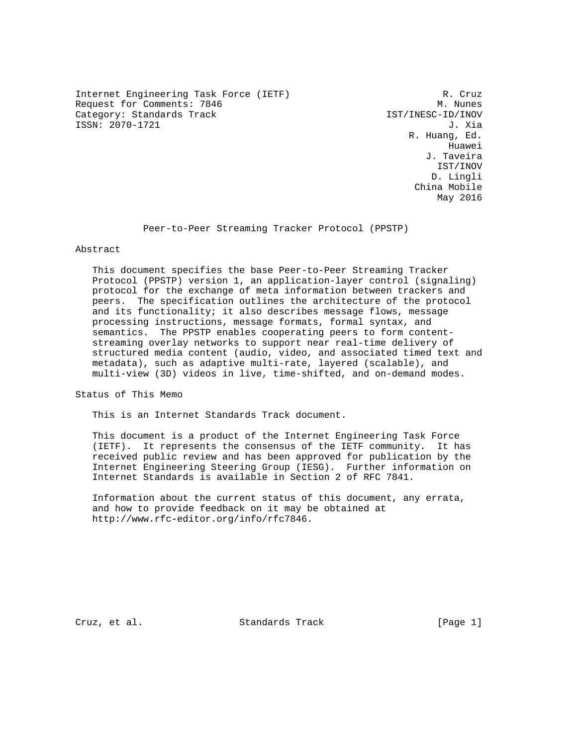Internet Engineering Task Force (IETF) R. Cruz Request for Comments: 7846 M. Nunes Category: Standards Track IST/INESC-ID/INOV ISSN: 2070-1721 J. Xia

 R. Huang, Ed. he distributed by the control of the control of the control of the control of the control of the control of the control of the control of the control of the control of the control of the control of the control of the contr J. Taveira IST/INOV D. Lingli China Mobile May 2016

Peer-to-Peer Streaming Tracker Protocol (PPSTP)

## Abstract

 This document specifies the base Peer-to-Peer Streaming Tracker Protocol (PPSTP) version 1, an application-layer control (signaling) protocol for the exchange of meta information between trackers and peers. The specification outlines the architecture of the protocol and its functionality; it also describes message flows, message processing instructions, message formats, formal syntax, and semantics. The PPSTP enables cooperating peers to form content streaming overlay networks to support near real-time delivery of structured media content (audio, video, and associated timed text and metadata), such as adaptive multi-rate, layered (scalable), and multi-view (3D) videos in live, time-shifted, and on-demand modes.

Status of This Memo

This is an Internet Standards Track document.

 This document is a product of the Internet Engineering Task Force (IETF). It represents the consensus of the IETF community. It has received public review and has been approved for publication by the Internet Engineering Steering Group (IESG). Further information on Internet Standards is available in Section 2 of RFC 7841.

 Information about the current status of this document, any errata, and how to provide feedback on it may be obtained at http://www.rfc-editor.org/info/rfc7846.

Cruz, et al. Standards Track [Page 1]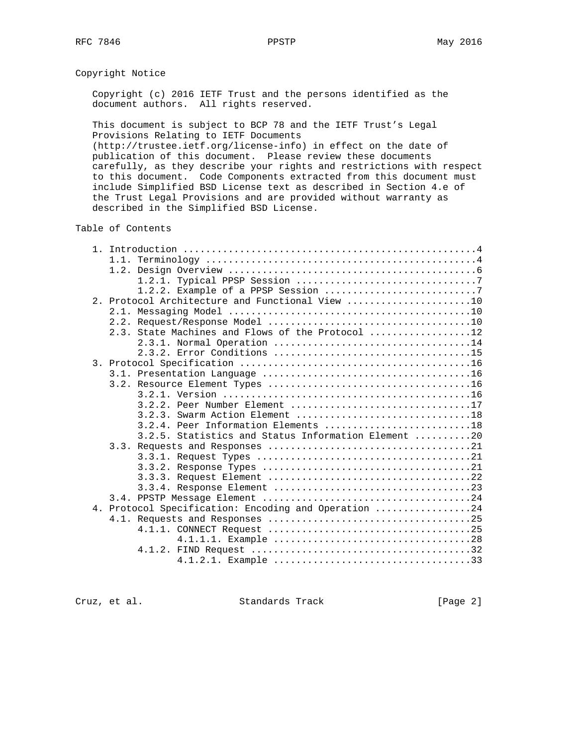# Copyright Notice

 Copyright (c) 2016 IETF Trust and the persons identified as the document authors. All rights reserved.

 This document is subject to BCP 78 and the IETF Trust's Legal Provisions Relating to IETF Documents

 (http://trustee.ietf.org/license-info) in effect on the date of publication of this document. Please review these documents carefully, as they describe your rights and restrictions with respect to this document. Code Components extracted from this document must include Simplified BSD License text as described in Section 4.e of the Trust Legal Provisions and are provided without warranty as described in the Simplified BSD License.

## Table of Contents

| 2. Protocol Architecture and Functional View 10      |
|------------------------------------------------------|
|                                                      |
|                                                      |
| 2.3. State Machines and Flows of the Protocol 12     |
| 2.3.1. Normal Operation 14                           |
|                                                      |
|                                                      |
|                                                      |
|                                                      |
|                                                      |
| 3.2.2. Peer Number Element 17                        |
|                                                      |
| $3.2.4$ . Peer Information Elements 18               |
| 3.2.5. Statistics and Status Information Element 20  |
|                                                      |
|                                                      |
|                                                      |
|                                                      |
|                                                      |
|                                                      |
| 4. Protocol Specification: Encoding and Operation 24 |
|                                                      |
|                                                      |
|                                                      |
|                                                      |
|                                                      |

Cruz, et al. Standards Track [Page 2]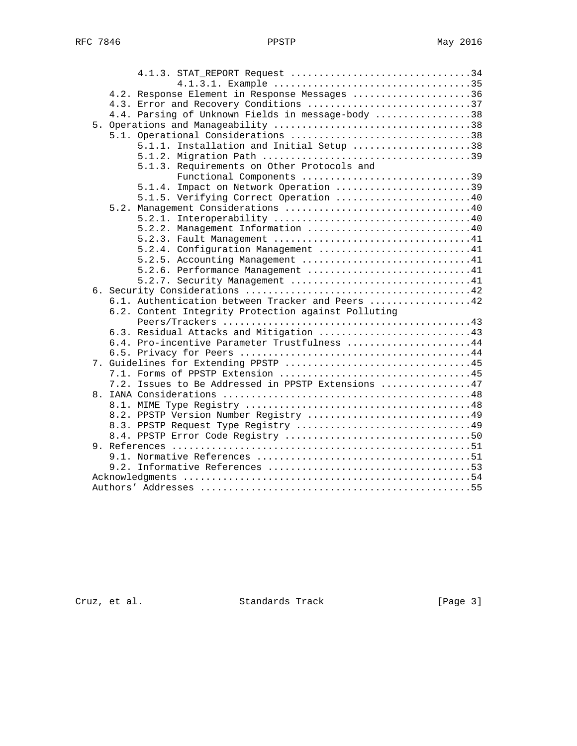|  | 4.1.3. STAT_REPORT Request 34                       |  |
|--|-----------------------------------------------------|--|
|  |                                                     |  |
|  | 4.2. Response Element in Response Messages 36       |  |
|  | 4.3. Error and Recovery Conditions 37               |  |
|  | 4.4. Parsing of Unknown Fields in message-body 38   |  |
|  |                                                     |  |
|  | 5.1. Operational Considerations 38                  |  |
|  | 5.1.1. Installation and Initial Setup 38            |  |
|  |                                                     |  |
|  | 5.1.3. Requirements on Other Protocols and          |  |
|  | Functional Components 39                            |  |
|  | 5.1.4. Impact on Network Operation 39               |  |
|  | 5.1.5. Verifying Correct Operation 40               |  |
|  |                                                     |  |
|  |                                                     |  |
|  | 5.2.2. Management Information 40                    |  |
|  |                                                     |  |
|  | 5.2.4. Configuration Management 41                  |  |
|  | 5.2.5. Accounting Management 41                     |  |
|  | 5.2.6. Performance Management 41                    |  |
|  | 5.2.7. Security Management 41                       |  |
|  |                                                     |  |
|  | 6.1. Authentication between Tracker and Peers 42    |  |
|  | 6.2. Content Integrity Protection against Polluting |  |
|  |                                                     |  |
|  | 6.3. Residual Attacks and Mitigation 43             |  |
|  | 6.4. Pro-incentive Parameter Trustfulness 44        |  |
|  |                                                     |  |
|  |                                                     |  |
|  |                                                     |  |
|  | 7.2. Issues to Be Addressed in PPSTP Extensions 47  |  |
|  |                                                     |  |
|  |                                                     |  |
|  | 8.2. PPSTP Version Number Registry 49               |  |
|  | 8.3. PPSTP Request Type Registry 49                 |  |
|  |                                                     |  |
|  |                                                     |  |
|  |                                                     |  |
|  |                                                     |  |
|  |                                                     |  |
|  |                                                     |  |
|  |                                                     |  |

Cruz, et al. Standards Track [Page 3]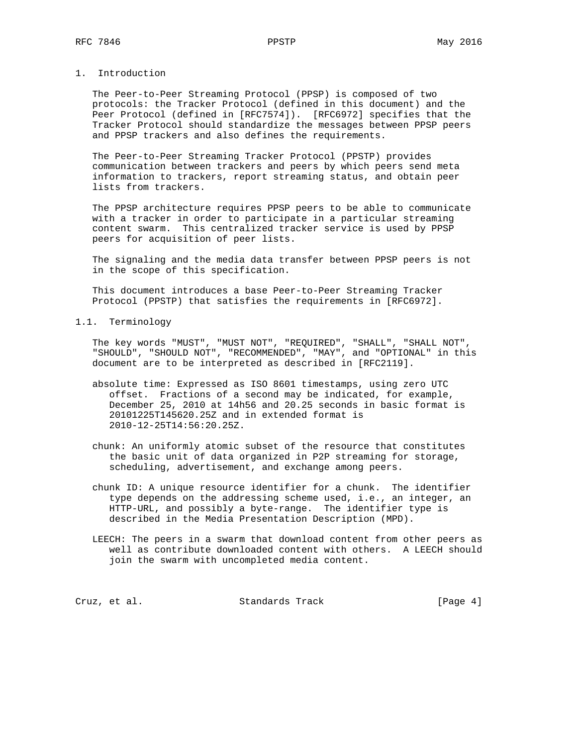# 1. Introduction

 The Peer-to-Peer Streaming Protocol (PPSP) is composed of two protocols: the Tracker Protocol (defined in this document) and the Peer Protocol (defined in [RFC7574]). [RFC6972] specifies that the Tracker Protocol should standardize the messages between PPSP peers and PPSP trackers and also defines the requirements.

 The Peer-to-Peer Streaming Tracker Protocol (PPSTP) provides communication between trackers and peers by which peers send meta information to trackers, report streaming status, and obtain peer lists from trackers.

 The PPSP architecture requires PPSP peers to be able to communicate with a tracker in order to participate in a particular streaming content swarm. This centralized tracker service is used by PPSP peers for acquisition of peer lists.

 The signaling and the media data transfer between PPSP peers is not in the scope of this specification.

 This document introduces a base Peer-to-Peer Streaming Tracker Protocol (PPSTP) that satisfies the requirements in [RFC6972].

1.1. Terminology

 The key words "MUST", "MUST NOT", "REQUIRED", "SHALL", "SHALL NOT", "SHOULD", "SHOULD NOT", "RECOMMENDED", "MAY", and "OPTIONAL" in this document are to be interpreted as described in [RFC2119].

- absolute time: Expressed as ISO 8601 timestamps, using zero UTC offset. Fractions of a second may be indicated, for example, December 25, 2010 at 14h56 and 20.25 seconds in basic format is 20101225T145620.25Z and in extended format is 2010-12-25T14:56:20.25Z.
- chunk: An uniformly atomic subset of the resource that constitutes the basic unit of data organized in P2P streaming for storage, scheduling, advertisement, and exchange among peers.
- chunk ID: A unique resource identifier for a chunk. The identifier type depends on the addressing scheme used, i.e., an integer, an HTTP-URL, and possibly a byte-range. The identifier type is described in the Media Presentation Description (MPD).
- LEECH: The peers in a swarm that download content from other peers as well as contribute downloaded content with others. A LEECH should join the swarm with uncompleted media content.

Cruz, et al. Standards Track [Page 4]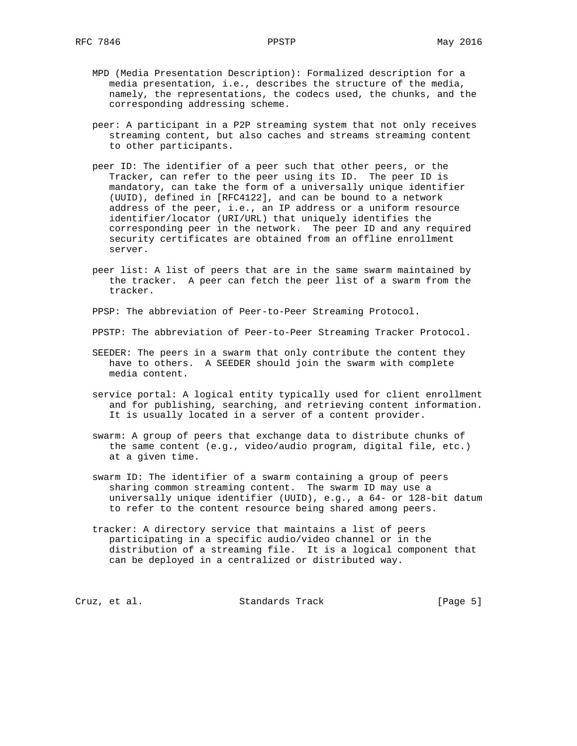- MPD (Media Presentation Description): Formalized description for a media presentation, i.e., describes the structure of the media, namely, the representations, the codecs used, the chunks, and the corresponding addressing scheme.
- peer: A participant in a P2P streaming system that not only receives streaming content, but also caches and streams streaming content to other participants.
- peer ID: The identifier of a peer such that other peers, or the Tracker, can refer to the peer using its ID. The peer ID is mandatory, can take the form of a universally unique identifier (UUID), defined in [RFC4122], and can be bound to a network address of the peer, i.e., an IP address or a uniform resource identifier/locator (URI/URL) that uniquely identifies the corresponding peer in the network. The peer ID and any required security certificates are obtained from an offline enrollment server.
- peer list: A list of peers that are in the same swarm maintained by the tracker. A peer can fetch the peer list of a swarm from the tracker.

PPSP: The abbreviation of Peer-to-Peer Streaming Protocol.

PPSTP: The abbreviation of Peer-to-Peer Streaming Tracker Protocol.

- SEEDER: The peers in a swarm that only contribute the content they have to others. A SEEDER should join the swarm with complete media content.
- service portal: A logical entity typically used for client enrollment and for publishing, searching, and retrieving content information. It is usually located in a server of a content provider.
- swarm: A group of peers that exchange data to distribute chunks of the same content (e.g., video/audio program, digital file, etc.) at a given time.
- swarm ID: The identifier of a swarm containing a group of peers sharing common streaming content. The swarm ID may use a universally unique identifier (UUID), e.g., a 64- or 128-bit datum to refer to the content resource being shared among peers.
- tracker: A directory service that maintains a list of peers participating in a specific audio/video channel or in the distribution of a streaming file. It is a logical component that can be deployed in a centralized or distributed way.

Cruz, et al. Standards Track [Page 5]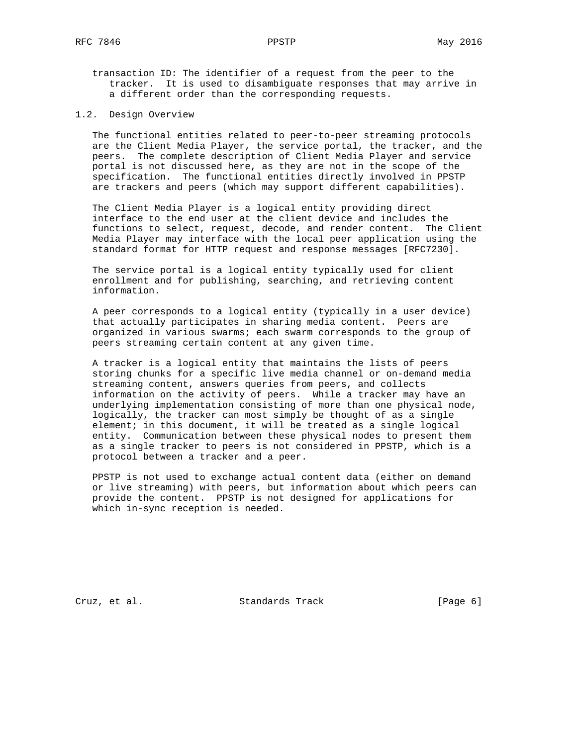transaction ID: The identifier of a request from the peer to the tracker. It is used to disambiguate responses that may arrive in a different order than the corresponding requests.

1.2. Design Overview

 The functional entities related to peer-to-peer streaming protocols are the Client Media Player, the service portal, the tracker, and the peers. The complete description of Client Media Player and service portal is not discussed here, as they are not in the scope of the specification. The functional entities directly involved in PPSTP are trackers and peers (which may support different capabilities).

 The Client Media Player is a logical entity providing direct interface to the end user at the client device and includes the functions to select, request, decode, and render content. The Client Media Player may interface with the local peer application using the standard format for HTTP request and response messages [RFC7230].

 The service portal is a logical entity typically used for client enrollment and for publishing, searching, and retrieving content information.

 A peer corresponds to a logical entity (typically in a user device) that actually participates in sharing media content. Peers are organized in various swarms; each swarm corresponds to the group of peers streaming certain content at any given time.

 A tracker is a logical entity that maintains the lists of peers storing chunks for a specific live media channel or on-demand media streaming content, answers queries from peers, and collects information on the activity of peers. While a tracker may have an underlying implementation consisting of more than one physical node, logically, the tracker can most simply be thought of as a single element; in this document, it will be treated as a single logical entity. Communication between these physical nodes to present them as a single tracker to peers is not considered in PPSTP, which is a protocol between a tracker and a peer.

 PPSTP is not used to exchange actual content data (either on demand or live streaming) with peers, but information about which peers can provide the content. PPSTP is not designed for applications for which in-sync reception is needed.

Cruz, et al. Standards Track [Page 6]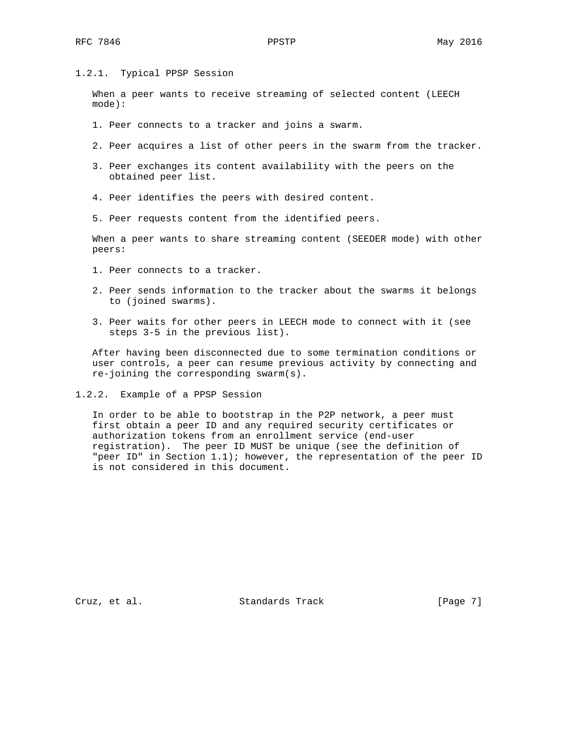## 1.2.1. Typical PPSP Session

 When a peer wants to receive streaming of selected content (LEECH mode):

- 1. Peer connects to a tracker and joins a swarm.
- 2. Peer acquires a list of other peers in the swarm from the tracker.
- 3. Peer exchanges its content availability with the peers on the obtained peer list.
- 4. Peer identifies the peers with desired content.
- 5. Peer requests content from the identified peers.

 When a peer wants to share streaming content (SEEDER mode) with other peers:

- 1. Peer connects to a tracker.
- 2. Peer sends information to the tracker about the swarms it belongs to (joined swarms).
- 3. Peer waits for other peers in LEECH mode to connect with it (see steps 3-5 in the previous list).

 After having been disconnected due to some termination conditions or user controls, a peer can resume previous activity by connecting and re-joining the corresponding swarm(s).

1.2.2. Example of a PPSP Session

 In order to be able to bootstrap in the P2P network, a peer must first obtain a peer ID and any required security certificates or authorization tokens from an enrollment service (end-user registration). The peer ID MUST be unique (see the definition of "peer ID" in Section 1.1); however, the representation of the peer ID is not considered in this document.

Cruz, et al. Standards Track [Page 7]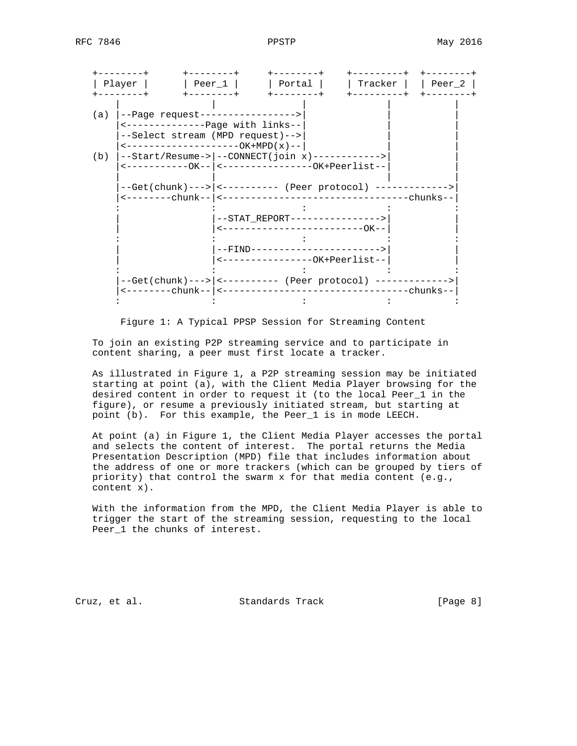

Figure 1: A Typical PPSP Session for Streaming Content

 To join an existing P2P streaming service and to participate in content sharing, a peer must first locate a tracker.

 As illustrated in Figure 1, a P2P streaming session may be initiated starting at point (a), with the Client Media Player browsing for the desired content in order to request it (to the local Peer\_1 in the figure), or resume a previously initiated stream, but starting at point (b). For this example, the Peer\_1 is in mode LEECH.

 At point (a) in Figure 1, the Client Media Player accesses the portal and selects the content of interest. The portal returns the Media Presentation Description (MPD) file that includes information about the address of one or more trackers (which can be grouped by tiers of priority) that control the swarm x for that media content (e.g., content x).

 With the information from the MPD, the Client Media Player is able to trigger the start of the streaming session, requesting to the local Peer\_1 the chunks of interest.

Cruz, et al. Standards Track [Page 8]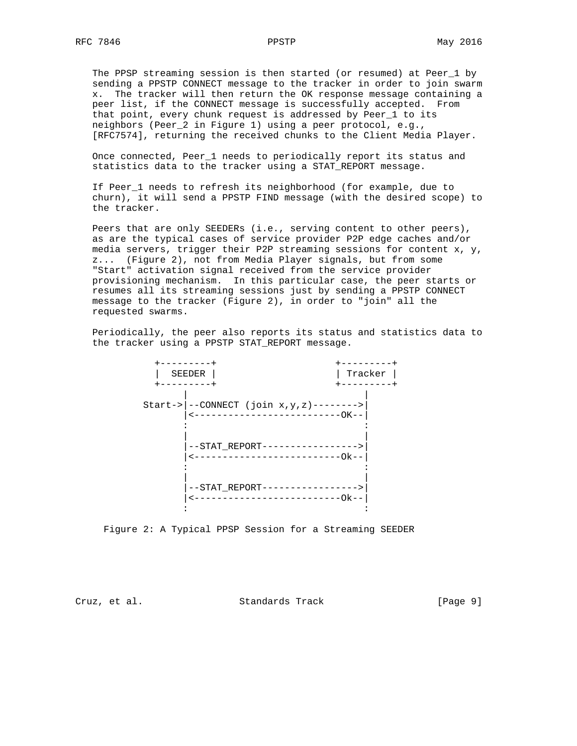The PPSP streaming session is then started (or resumed) at Peer\_1 by sending a PPSTP CONNECT message to the tracker in order to join swarm x. The tracker will then return the OK response message containing a peer list, if the CONNECT message is successfully accepted. From that point, every chunk request is addressed by Peer\_1 to its neighbors (Peer\_2 in Figure 1) using a peer protocol, e.g., [RFC7574], returning the received chunks to the Client Media Player.

 Once connected, Peer\_1 needs to periodically report its status and statistics data to the tracker using a STAT\_REPORT message.

 If Peer\_1 needs to refresh its neighborhood (for example, due to churn), it will send a PPSTP FIND message (with the desired scope) to the tracker.

 Peers that are only SEEDERs (i.e., serving content to other peers), as are the typical cases of service provider P2P edge caches and/or media servers, trigger their P2P streaming sessions for content x, y, z... (Figure 2), not from Media Player signals, but from some "Start" activation signal received from the service provider provisioning mechanism. In this particular case, the peer starts or resumes all its streaming sessions just by sending a PPSTP CONNECT message to the tracker (Figure 2), in order to "join" all the requested swarms.

 Periodically, the peer also reports its status and statistics data to the tracker using a PPSTP STAT\_REPORT message.



Figure 2: A Typical PPSP Session for a Streaming SEEDER

Cruz, et al. Standards Track [Page 9]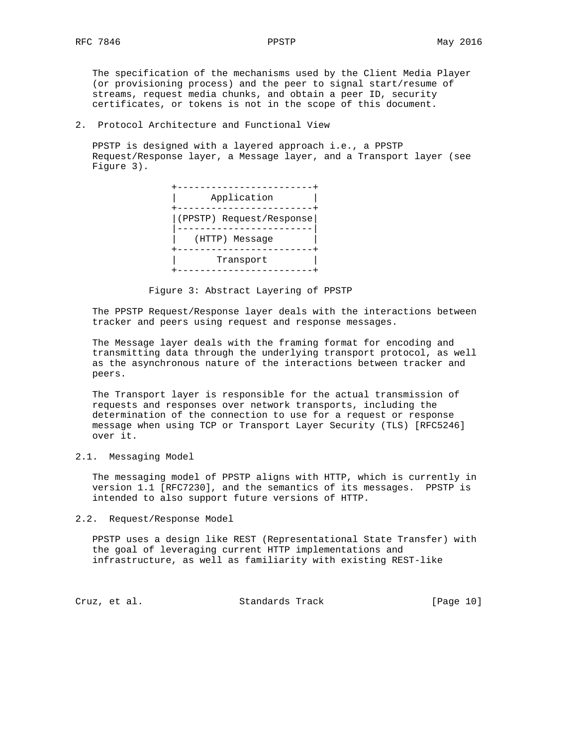The specification of the mechanisms used by the Client Media Player (or provisioning process) and the peer to signal start/resume of streams, request media chunks, and obtain a peer ID, security certificates, or tokens is not in the scope of this document.

2. Protocol Architecture and Functional View

 PPSTP is designed with a layered approach i.e., a PPSTP Request/Response layer, a Message layer, and a Transport layer (see Figure 3).



Figure 3: Abstract Layering of PPSTP

 The PPSTP Request/Response layer deals with the interactions between tracker and peers using request and response messages.

 The Message layer deals with the framing format for encoding and transmitting data through the underlying transport protocol, as well as the asynchronous nature of the interactions between tracker and peers.

 The Transport layer is responsible for the actual transmission of requests and responses over network transports, including the determination of the connection to use for a request or response message when using TCP or Transport Layer Security (TLS) [RFC5246] over it.

2.1. Messaging Model

 The messaging model of PPSTP aligns with HTTP, which is currently in version 1.1 [RFC7230], and the semantics of its messages. PPSTP is intended to also support future versions of HTTP.

2.2. Request/Response Model

 PPSTP uses a design like REST (Representational State Transfer) with the goal of leveraging current HTTP implementations and infrastructure, as well as familiarity with existing REST-like

Cruz, et al. Standards Track [Page 10]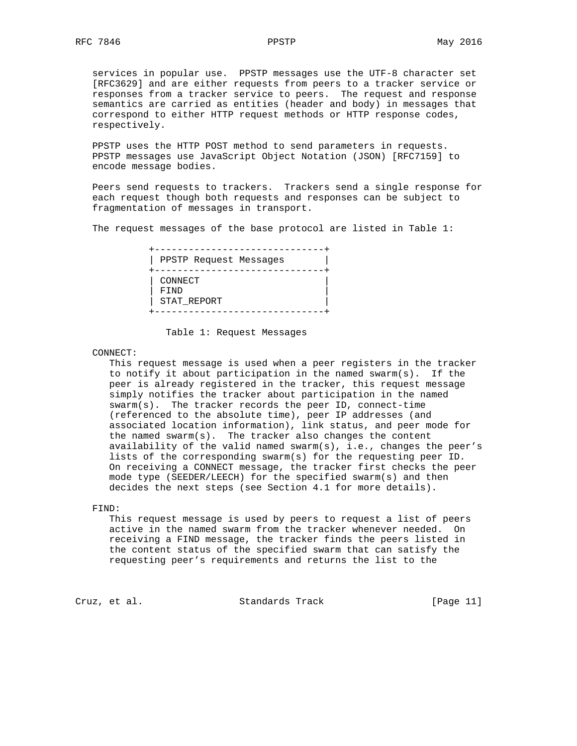services in popular use. PPSTP messages use the UTF-8 character set [RFC3629] and are either requests from peers to a tracker service or responses from a tracker service to peers. The request and response semantics are carried as entities (header and body) in messages that correspond to either HTTP request methods or HTTP response codes, respectively.

 PPSTP uses the HTTP POST method to send parameters in requests. PPSTP messages use JavaScript Object Notation (JSON) [RFC7159] to encode message bodies.

 Peers send requests to trackers. Trackers send a single response for each request though both requests and responses can be subject to fragmentation of messages in transport.

The request messages of the base protocol are listed in Table 1:

| PPSTP Request Messages |  |
|------------------------|--|
|                        |  |
| CONNECT                |  |
| FTND                   |  |
| STAT REPORT            |  |
|                        |  |
|                        |  |

Table 1: Request Messages

CONNECT:

 This request message is used when a peer registers in the tracker to notify it about participation in the named swarm(s). If the peer is already registered in the tracker, this request message simply notifies the tracker about participation in the named swarm(s). The tracker records the peer ID, connect-time (referenced to the absolute time), peer IP addresses (and associated location information), link status, and peer mode for the named swarm(s). The tracker also changes the content availability of the valid named swarm(s), i.e., changes the peer's lists of the corresponding swarm(s) for the requesting peer ID. On receiving a CONNECT message, the tracker first checks the peer mode type (SEEDER/LEECH) for the specified swarm(s) and then decides the next steps (see Section 4.1 for more details).

## FIND:

 This request message is used by peers to request a list of peers active in the named swarm from the tracker whenever needed. On receiving a FIND message, the tracker finds the peers listed in the content status of the specified swarm that can satisfy the requesting peer's requirements and returns the list to the

Cruz, et al. Standards Track [Page 11]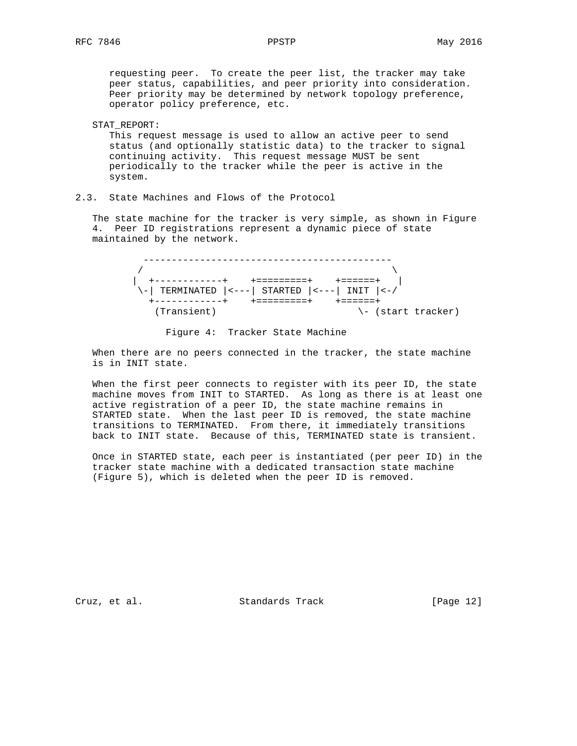requesting peer. To create the peer list, the tracker may take peer status, capabilities, and peer priority into consideration. Peer priority may be determined by network topology preference, operator policy preference, etc.

#### STAT\_REPORT:

 This request message is used to allow an active peer to send status (and optionally statistic data) to the tracker to signal continuing activity. This request message MUST be sent periodically to the tracker while the peer is active in the system.

# 2.3. State Machines and Flows of the Protocol

 The state machine for the tracker is very simple, as shown in Figure 4. Peer ID registrations represent a dynamic piece of state maintained by the network.

 --------------------------------------------  $\sqrt{2}$  | +------------+ +=========+ +======+ |  $\setminus$ -| TERMINATED  $|$ <--- $|$  STARTED  $|$ <--- $|$  INIT  $|$ <-/ +------------+ +=========+ +======+ (Transient)  $\setminus$ - (start tracker)

# Figure 4: Tracker State Machine

 When there are no peers connected in the tracker, the state machine is in INIT state.

 When the first peer connects to register with its peer ID, the state machine moves from INIT to STARTED. As long as there is at least one active registration of a peer ID, the state machine remains in STARTED state. When the last peer ID is removed, the state machine transitions to TERMINATED. From there, it immediately transitions back to INIT state. Because of this, TERMINATED state is transient.

 Once in STARTED state, each peer is instantiated (per peer ID) in the tracker state machine with a dedicated transaction state machine (Figure 5), which is deleted when the peer ID is removed.

Cruz, et al. Standards Track [Page 12]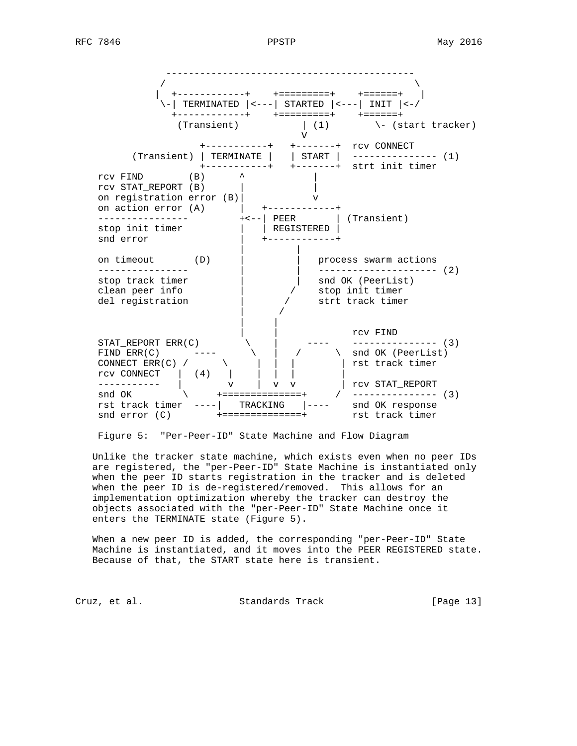--------------------------------------------  $\sqrt{ }$  | +------------+ +=========+ +======+ |  $\setminus$ -| TERMINATED  $|$ <---| STARTED  $|$ <---| INIT  $|$ <-/ +------------+ +=========+ +======+  $(Transient)$   $(1)$   $\qquad \qquad$  (start tracker) V +-----------+ +-------+ rcv CONNECT (Transient) | TERMINATE | | START | --------------- (1) +-----------+ +-------+ strt init timer rcv FIND  $(B)$   $\uparrow$   $\uparrow$  | rcv STAT\_REPORT (B) | | on registration error (B)| v on action error (A)  $|$  +------------+ ---------------- +<--| PEER | (Transient) stop init timer  $|$  | REGISTERED | snd error  $\vert$  +-----------+ | | on timeout (D) | | process swarm actions ---------------- | | --------------------- (2) stop track timer  $|$  | snd OK (PeerList) clean peer info  $\vert$  / stop init timer del registration  $\vert$  / strt track timer | / | | | | rcv FIND STAT\_REPORT ERR(C)  $\setminus$  | ---- -------------- (3) FIND ERR(C) ---- \ | / \ snd OK (PeerList) CONNECT ERR(C) / \ \ | | | | rst track timer rcv CONNECT | (4) | | | | | ----------- | v | v v | rcv STAT\_REPORT snd OK \ +==============+ / --------------- (3) rst track timer ----| TRACKING |---- snd OK response snd error (C) +==============+ rst track timer

Figure 5: "Per-Peer-ID" State Machine and Flow Diagram

 Unlike the tracker state machine, which exists even when no peer IDs are registered, the "per-Peer-ID" State Machine is instantiated only when the peer ID starts registration in the tracker and is deleted when the peer ID is de-registered/removed. This allows for an implementation optimization whereby the tracker can destroy the objects associated with the "per-Peer-ID" State Machine once it enters the TERMINATE state (Figure 5).

 When a new peer ID is added, the corresponding "per-Peer-ID" State Machine is instantiated, and it moves into the PEER REGISTERED state. Because of that, the START state here is transient.

Cruz, et al. Standards Track [Page 13]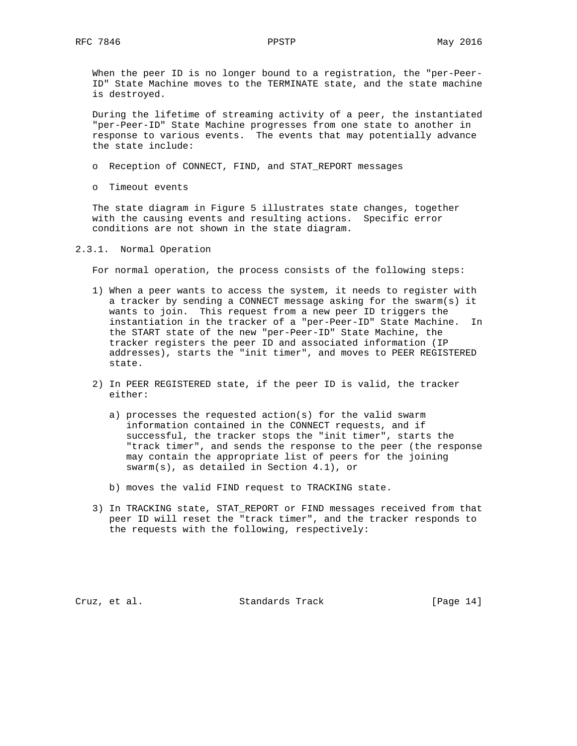When the peer ID is no longer bound to a registration, the "per-Peer- ID" State Machine moves to the TERMINATE state, and the state machine is destroyed.

 During the lifetime of streaming activity of a peer, the instantiated "per-Peer-ID" State Machine progresses from one state to another in response to various events. The events that may potentially advance the state include:

- o Reception of CONNECT, FIND, and STAT\_REPORT messages
- o Timeout events

 The state diagram in Figure 5 illustrates state changes, together with the causing events and resulting actions. Specific error conditions are not shown in the state diagram.

## 2.3.1. Normal Operation

For normal operation, the process consists of the following steps:

- 1) When a peer wants to access the system, it needs to register with a tracker by sending a CONNECT message asking for the swarm(s) it wants to join. This request from a new peer ID triggers the instantiation in the tracker of a "per-Peer-ID" State Machine. In the START state of the new "per-Peer-ID" State Machine, the tracker registers the peer ID and associated information (IP addresses), starts the "init timer", and moves to PEER REGISTERED state.
- 2) In PEER REGISTERED state, if the peer ID is valid, the tracker either:
	- a) processes the requested action(s) for the valid swarm information contained in the CONNECT requests, and if successful, the tracker stops the "init timer", starts the "track timer", and sends the response to the peer (the response may contain the appropriate list of peers for the joining swarm(s), as detailed in Section 4.1), or
	- b) moves the valid FIND request to TRACKING state.
- 3) In TRACKING state, STAT\_REPORT or FIND messages received from that peer ID will reset the "track timer", and the tracker responds to the requests with the following, respectively:

Cruz, et al. Standards Track [Page 14]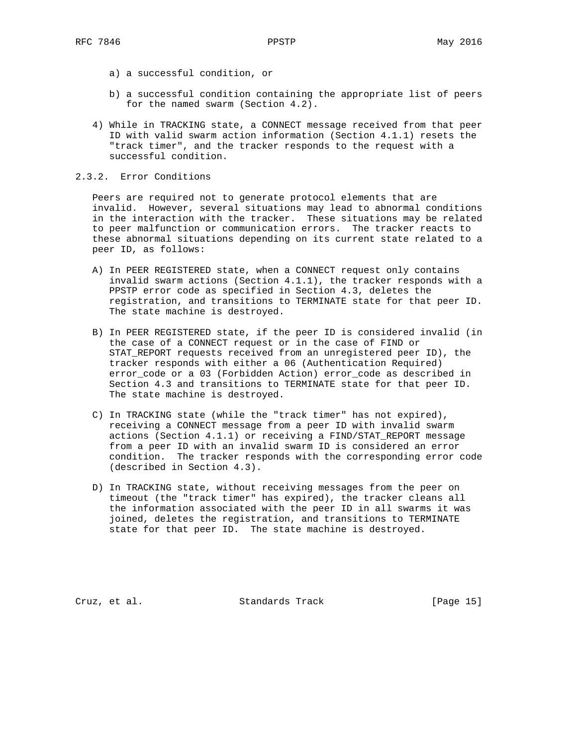- a) a successful condition, or
- b) a successful condition containing the appropriate list of peers for the named swarm (Section 4.2).
- 4) While in TRACKING state, a CONNECT message received from that peer ID with valid swarm action information (Section 4.1.1) resets the "track timer", and the tracker responds to the request with a successful condition.

### 2.3.2. Error Conditions

 Peers are required not to generate protocol elements that are invalid. However, several situations may lead to abnormal conditions in the interaction with the tracker. These situations may be related to peer malfunction or communication errors. The tracker reacts to these abnormal situations depending on its current state related to a peer ID, as follows:

- A) In PEER REGISTERED state, when a CONNECT request only contains invalid swarm actions (Section 4.1.1), the tracker responds with a PPSTP error code as specified in Section 4.3, deletes the registration, and transitions to TERMINATE state for that peer ID. The state machine is destroyed.
- B) In PEER REGISTERED state, if the peer ID is considered invalid (in the case of a CONNECT request or in the case of FIND or STAT\_REPORT requests received from an unregistered peer ID), the tracker responds with either a 06 (Authentication Required) error\_code or a 03 (Forbidden Action) error\_code as described in Section 4.3 and transitions to TERMINATE state for that peer ID. The state machine is destroyed.
- C) In TRACKING state (while the "track timer" has not expired), receiving a CONNECT message from a peer ID with invalid swarm actions (Section 4.1.1) or receiving a FIND/STAT\_REPORT message from a peer ID with an invalid swarm ID is considered an error condition. The tracker responds with the corresponding error code (described in Section 4.3).
- D) In TRACKING state, without receiving messages from the peer on timeout (the "track timer" has expired), the tracker cleans all the information associated with the peer ID in all swarms it was joined, deletes the registration, and transitions to TERMINATE state for that peer ID. The state machine is destroyed.

Cruz, et al. Standards Track [Page 15]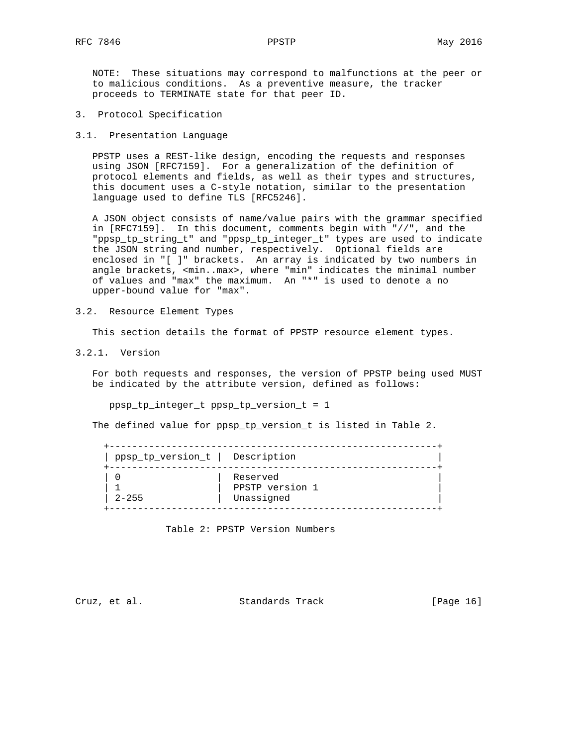NOTE: These situations may correspond to malfunctions at the peer or to malicious conditions. As a preventive measure, the tracker proceeds to TERMINATE state for that peer ID.

- 3. Protocol Specification
- 3.1. Presentation Language

 PPSTP uses a REST-like design, encoding the requests and responses using JSON [RFC7159]. For a generalization of the definition of protocol elements and fields, as well as their types and structures, this document uses a C-style notation, similar to the presentation language used to define TLS [RFC5246].

 A JSON object consists of name/value pairs with the grammar specified in [RFC7159]. In this document, comments begin with "//", and the "ppsp\_tp\_string\_t" and "ppsp\_tp\_integer\_t" types are used to indicate the JSON string and number, respectively. Optional fields are enclosed in "[ ]" brackets. An array is indicated by two numbers in angle brackets, <min..max>, where "min" indicates the minimal number of values and "max" the maximum. An "\*" is used to denote a no upper-bound value for "max".

3.2. Resource Element Types

This section details the format of PPSTP resource element types.

3.2.1. Version

 For both requests and responses, the version of PPSTP being used MUST be indicated by the attribute version, defined as follows:

ppsp\_tp\_integer\_t ppsp\_tp\_version\_t = 1

The defined value for ppsp\_tp\_version\_t is listed in Table 2.

| ppsp_tp_version_t   Description |                 |
|---------------------------------|-----------------|
|                                 | Reserved        |
|                                 | PPSTP version 1 |
| $2 - 255$                       | Unassigned      |

Table 2: PPSTP Version Numbers

Cruz, et al. Standards Track [Page 16]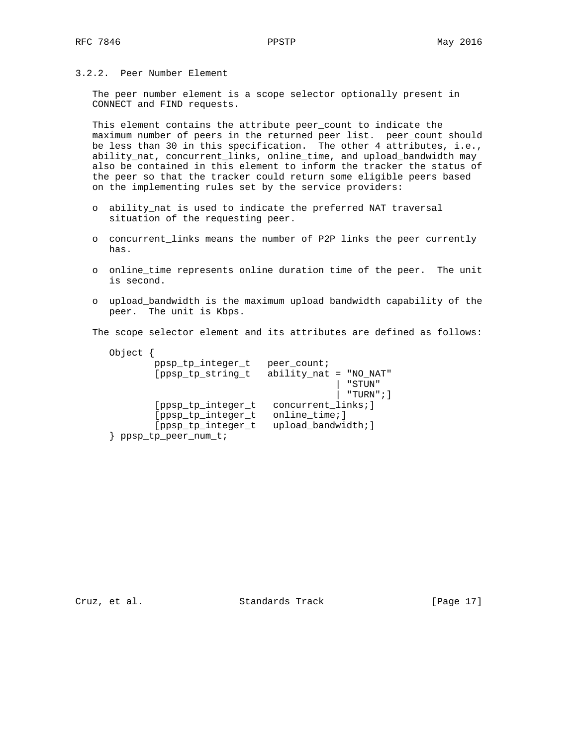3.2.2. Peer Number Element

 The peer number element is a scope selector optionally present in CONNECT and FIND requests.

 This element contains the attribute peer\_count to indicate the maximum number of peers in the returned peer list. peer\_count should be less than 30 in this specification. The other 4 attributes, i.e., ability\_nat, concurrent\_links, online\_time, and upload\_bandwidth may also be contained in this element to inform the tracker the status of the peer so that the tracker could return some eligible peers based on the implementing rules set by the service providers:

- o ability\_nat is used to indicate the preferred NAT traversal situation of the requesting peer.
- o concurrent\_links means the number of P2P links the peer currently has.
- o online\_time represents online duration time of the peer. The unit is second.
- o upload\_bandwidth is the maximum upload bandwidth capability of the peer. The unit is Kbps.

The scope selector element and its attributes are defined as follows:

| Object |                     |                          |             |
|--------|---------------------|--------------------------|-------------|
|        | ppsp_tp_integer_t   | peer_count;              |             |
|        | [ppsp_tp_string_t   | $ability_nat = "NO_NAT"$ |             |
|        |                     |                          | " STUN"     |
|        |                     |                          | "TURN"; $]$ |
|        | [ppsp_tp_integer_t  | concurrent_links; ]      |             |
|        | [ppsp_tp_integer_t  | online_time; ]           |             |
|        | [ppsp_tp_integer_t  | upload_bandwidth; ]      |             |
|        | ppsp_tp_peer_num_t; |                          |             |

Cruz, et al. Standards Track [Page 17]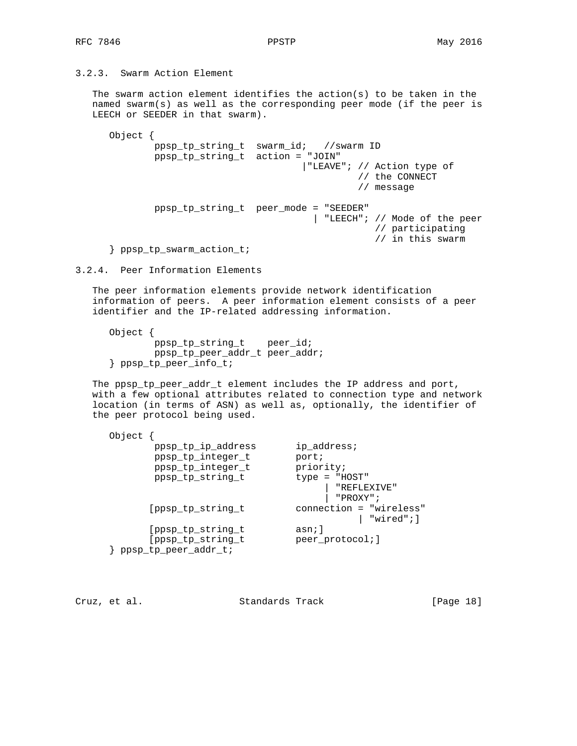# 3.2.3. Swarm Action Element

 The swarm action element identifies the action(s) to be taken in the named swarm(s) as well as the corresponding peer mode (if the peer is LEECH or SEEDER in that swarm).

 Object { ppsp\_tp\_string\_t swarm\_id; //swarm ID ppsp\_tp\_string\_t action = "JOIN" |"LEAVE"; // Action type of // the CONNECT // message ppsp\_tp\_string\_t peer\_mode = "SEEDER" | "LEECH"; // Mode of the peer // participating // in this swarm } ppsp\_tp\_swarm\_action\_t;

3.2.4. Peer Information Elements

 The peer information elements provide network identification information of peers. A peer information element consists of a peer identifier and the IP-related addressing information.

```
 Object {
         ppsp_tp_string_t peer_id;
         ppsp_tp_peer_addr_t peer_addr;
 } ppsp_tp_peer_info_t;
```
 The ppsp\_tp\_peer\_addr\_t element includes the IP address and port, with a few optional attributes related to connection type and network location (in terms of ASN) as well as, optionally, the identifier of the peer protocol being used.

| ppsp_tp_ip_address   | ip_address;             |
|----------------------|-------------------------|
| ppsp_tp_integer_t    | port;                   |
| ppsp_tp_integer_t    | priority;               |
| ppsp_tp_string_t     | $type = "HOST"$         |
|                      | "REFLEXIVE"             |
|                      | "PROXY";                |
| [ppsp_tp_string_t    | connection = "wireless" |
|                      | $\vert$ "wired";]       |
| [ppsp_tp_string_t    | asn; ]                  |
| [ppsp_tp_string_t    | peer_protocol; ]        |
| ppsp_tp_peer_addr_t; |                         |
|                      |                         |

Cruz, et al. Standards Track [Page 18]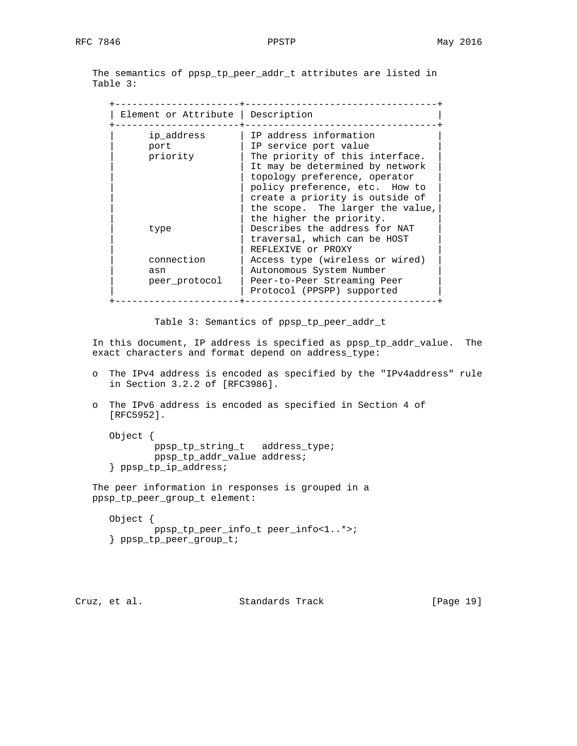The semantics of ppsp\_tp\_peer\_addr\_t attributes are listed in Table 3:

| Element or Attribute   Description |                                  |
|------------------------------------|----------------------------------|
| ip address                         | IP address information           |
| port                               | IP service port value            |
| priority                           | The priority of this interface.  |
|                                    | It may be determined by network  |
|                                    | topology preference, operator    |
|                                    | policy preference, etc. How to   |
|                                    | create a priority is outside of  |
|                                    | the scope. The larger the value, |
|                                    | the higher the priority.         |
| type                               | Describes the address for NAT    |
|                                    | traversal, which can be HOST     |
|                                    | REFLEXIVE Or PROXY               |
| connection                         | Access type (wireless or wired)  |
| asn                                | Autonomous System Number         |
| peer protocol                      | Peer-to-Peer Streaming Peer      |
|                                    | Protocol (PPSPP) supported       |

Table 3: Semantics of ppsp\_tp\_peer\_addr\_t

 In this document, IP address is specified as ppsp\_tp\_addr\_value. The exact characters and format depend on address\_type:

- o The IPv4 address is encoded as specified by the "IPv4address" rule in Section 3.2.2 of [RFC3986].
- o The IPv6 address is encoded as specified in Section 4 of [RFC5952].

 Object { ppsp\_tp\_string\_t address\_type; ppsp\_tp\_addr\_value address; } ppsp\_tp\_ip\_address;

 The peer information in responses is grouped in a ppsp\_tp\_peer\_group\_t element:

```
 Object {
        ppsp_tp_peer_info_t peer_info<1..*>;
 } ppsp_tp_peer_group_t;
```
Cruz, et al. Standards Track [Page 19]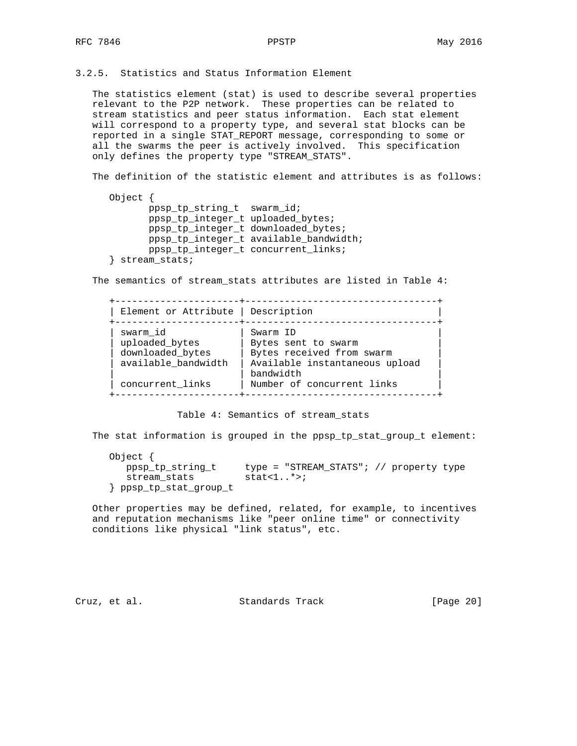3.2.5. Statistics and Status Information Element

 The statistics element (stat) is used to describe several properties relevant to the P2P network. These properties can be related to stream statistics and peer status information. Each stat element will correspond to a property type, and several stat blocks can be reported in a single STAT\_REPORT message, corresponding to some or all the swarms the peer is actively involved. This specification only defines the property type "STREAM\_STATS".

The definition of the statistic element and attributes is as follows:

```
 Object {
       ppsp_tp_string_t swarm_id;
        ppsp_tp_integer_t uploaded_bytes;
        ppsp_tp_integer_t downloaded_bytes;
        ppsp_tp_integer_t available_bandwidth;
        ppsp_tp_integer_t concurrent_links;
 } stream_stats;
```
The semantics of stream\_stats attributes are listed in Table 4:

| Element or Attribute                           | Description                                                  |
|------------------------------------------------|--------------------------------------------------------------|
| swarm id<br>uploaded bytes<br>downloaded bytes | Swarm ID<br>Bytes sent to swarm<br>Bytes received from swarm |
| available_bandwidth                            | Available instantaneous upload<br>bandwidth                  |
| concurrent links                               | Number of concurrent links                                   |

Table 4: Semantics of stream\_stats

The stat information is grouped in the ppsp\_tp\_stat\_group\_t element:

| Object {               |                                         |
|------------------------|-----------------------------------------|
| ppsp tp string t       | type = "STREAM_STATS"; // property type |
| stream stats           | stat<1 $\star$ >;                       |
| ppsp_tp_stat_group_t } |                                         |

 Other properties may be defined, related, for example, to incentives and reputation mechanisms like "peer online time" or connectivity conditions like physical "link status", etc.

Cruz, et al. Standards Track [Page 20]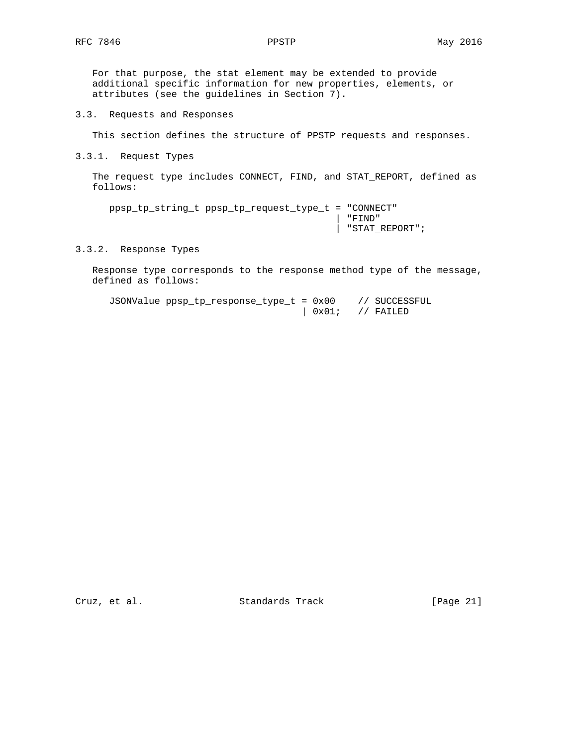For that purpose, the stat element may be extended to provide additional specific information for new properties, elements, or attributes (see the guidelines in Section 7).

3.3. Requests and Responses

This section defines the structure of PPSTP requests and responses.

3.3.1. Request Types

 The request type includes CONNECT, FIND, and STAT\_REPORT, defined as follows:

 ppsp\_tp\_string\_t ppsp\_tp\_request\_type\_t = "CONNECT" | "FIND" | "STAT\_REPORT";

## 3.3.2. Response Types

 Response type corresponds to the response method type of the message, defined as follows:

 JSONValue ppsp\_tp\_response\_type\_t = 0x00 // SUCCESSFUL  $\begin{array}{cc} | & 0x01; \end{array}$  // FAILED

Cruz, et al. Standards Track [Page 21]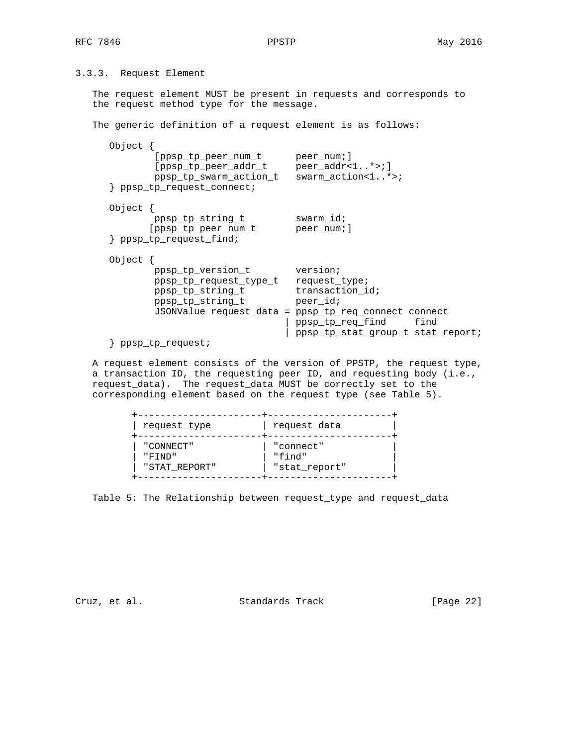3.3.3. Request Element

 The request element MUST be present in requests and corresponds to the request method type for the message.

The generic definition of a request element is as follows:

| Object      | lppsp_tp_peer_num_t<br>[ppsp_tp_peer_addr_t<br>ppsp_tp_swarm_action_t<br>ppsp_tp_request_connect;       | peer_num;]<br>$peer\_addr < 1$ *>;]<br>swarm $action < 1*>$                                                                                                                       |
|-------------|---------------------------------------------------------------------------------------------------------|-----------------------------------------------------------------------------------------------------------------------------------------------------------------------------------|
| Object $\{$ | ppsp_tp_string_t<br>[ppsp_tp_peer_num_t<br>ppsp_tp_request_find;                                        | swarm_id;<br>peer_num;]                                                                                                                                                           |
| Object      | ppsp_tp_version_t<br>ppsp_tp_request_type_t<br>ppsp_tp_string_t<br>ppsp_tp_string_t<br>ppsp_tp_request; | version;<br>request_type;<br>transaction id;<br>peer id;<br>JSONValue request_data = ppsp_tp_req_connect connect<br>ppsp_tp_req_find<br>find<br>ppsp_tp_stat_group_t stat_report; |

 A request element consists of the version of PPSTP, the request type, a transaction ID, the requesting peer ID, and requesting body (i.e., request\_data). The request\_data MUST be correctly set to the corresponding element based on the request type (see Table 5).

| request_type  | request_data  |
|---------------|---------------|
| "CONNECT"     | "connect"     |
| יי חוזידיי    | "find"        |
| "STAT REPORT" | "stat_report" |

Table 5: The Relationship between request\_type and request\_data

Cruz, et al. Standards Track [Page 22]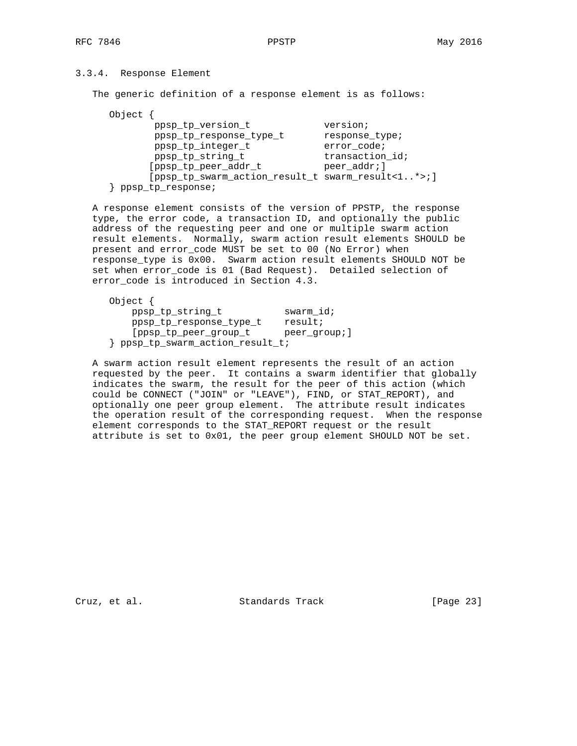# 3.3.4. Response Element

The generic definition of a response element is as follows:

| Object |                                                   |                 |
|--------|---------------------------------------------------|-----------------|
|        | ppsp_tp_version_t                                 | version;        |
|        | ppsp_tp_response_type_t                           | response_type;  |
|        | ppsp_tp_integer_t                                 | error code;     |
|        | ppsp_tp_string_t                                  | transaction id; |
|        | [ppsp_tp_peer_addr_t                              | peer addr; ]    |
|        | [ppsp tp swarm action result t swarm result<1*>;] |                 |
| ppsp   | tp response;                                      |                 |

 A response element consists of the version of PPSTP, the response type, the error code, a transaction ID, and optionally the public address of the requesting peer and one or multiple swarm action result elements. Normally, swarm action result elements SHOULD be present and error\_code MUST be set to 00 (No Error) when response\_type is 0x00. Swarm action result elements SHOULD NOT be set when error\_code is 01 (Bad Request). Detailed selection of error\_code is introduced in Section 4.3.

 Object { ppsp\_tp\_string\_t swarm\_id; ppsp\_tp\_response\_type\_t result; [ppsp\_tp\_peer\_group\_t peer\_group; ] } ppsp\_tp\_swarm\_action\_result\_t;

 A swarm action result element represents the result of an action requested by the peer. It contains a swarm identifier that globally indicates the swarm, the result for the peer of this action (which could be CONNECT ("JOIN" or "LEAVE"), FIND, or STAT\_REPORT), and optionally one peer group element. The attribute result indicates the operation result of the corresponding request. When the response element corresponds to the STAT\_REPORT request or the result attribute is set to 0x01, the peer group element SHOULD NOT be set.

Cruz, et al. Standards Track [Page 23]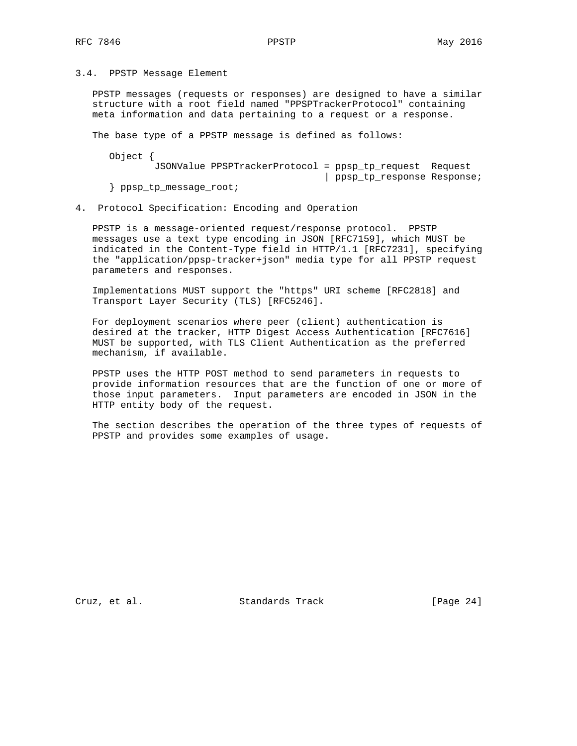3.4. PPSTP Message Element

 PPSTP messages (requests or responses) are designed to have a similar structure with a root field named "PPSPTrackerProtocol" containing meta information and data pertaining to a request or a response.

The base type of a PPSTP message is defined as follows:

 Object { JSONValue PPSPTrackerProtocol = ppsp\_tp\_request Request | ppsp\_tp\_response Response; } ppsp\_tp\_message\_root;

4. Protocol Specification: Encoding and Operation

 PPSTP is a message-oriented request/response protocol. PPSTP messages use a text type encoding in JSON [RFC7159], which MUST be indicated in the Content-Type field in HTTP/1.1 [RFC7231], specifying the "application/ppsp-tracker+json" media type for all PPSTP request parameters and responses.

 Implementations MUST support the "https" URI scheme [RFC2818] and Transport Layer Security (TLS) [RFC5246].

 For deployment scenarios where peer (client) authentication is desired at the tracker, HTTP Digest Access Authentication [RFC7616] MUST be supported, with TLS Client Authentication as the preferred mechanism, if available.

 PPSTP uses the HTTP POST method to send parameters in requests to provide information resources that are the function of one or more of those input parameters. Input parameters are encoded in JSON in the HTTP entity body of the request.

 The section describes the operation of the three types of requests of PPSTP and provides some examples of usage.

Cruz, et al. Standards Track [Page 24]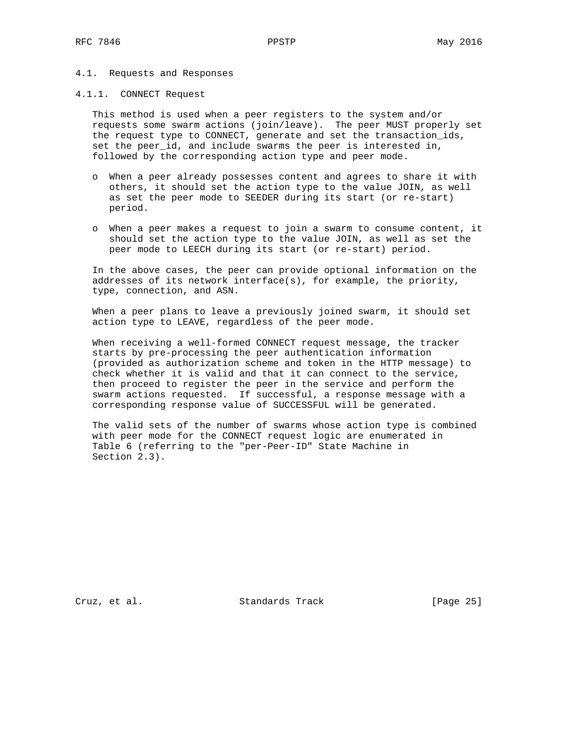#### 4.1. Requests and Responses

### 4.1.1. CONNECT Request

 This method is used when a peer registers to the system and/or requests some swarm actions (join/leave). The peer MUST properly set the request type to CONNECT, generate and set the transaction\_ids, set the peer\_id, and include swarms the peer is interested in, followed by the corresponding action type and peer mode.

- o When a peer already possesses content and agrees to share it with others, it should set the action type to the value JOIN, as well as set the peer mode to SEEDER during its start (or re-start) period.
- o When a peer makes a request to join a swarm to consume content, it should set the action type to the value JOIN, as well as set the peer mode to LEECH during its start (or re-start) period.

 In the above cases, the peer can provide optional information on the addresses of its network interface(s), for example, the priority, type, connection, and ASN.

 When a peer plans to leave a previously joined swarm, it should set action type to LEAVE, regardless of the peer mode.

 When receiving a well-formed CONNECT request message, the tracker starts by pre-processing the peer authentication information (provided as authorization scheme and token in the HTTP message) to check whether it is valid and that it can connect to the service, then proceed to register the peer in the service and perform the swarm actions requested. If successful, a response message with a corresponding response value of SUCCESSFUL will be generated.

 The valid sets of the number of swarms whose action type is combined with peer mode for the CONNECT request logic are enumerated in Table 6 (referring to the "per-Peer-ID" State Machine in Section 2.3).

Cruz, et al. Standards Track [Page 25]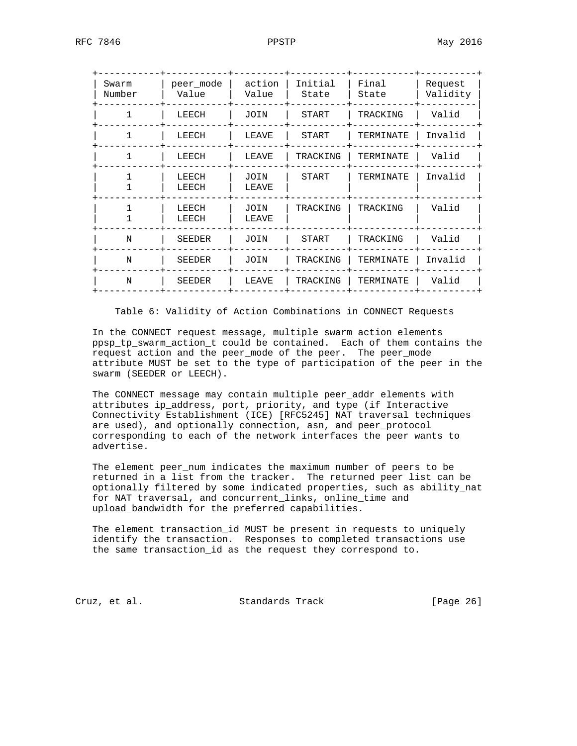| Swarm<br>Number | peer mode<br>Value | action<br>Value      | Initial<br>State | Final<br>State | Request<br>Validity |
|-----------------|--------------------|----------------------|------------------|----------------|---------------------|
|                 | LEECH              | JOIN                 | <b>START</b>     | TRACKING       | Valid               |
|                 | LEECH              | LEAVE                | <b>START</b>     | TERMINATE      | Invalid             |
|                 | LEECH              | LEAVE                | TRACKING         | TERMINATE      | Valid               |
|                 | LEECH<br>LEECH     | <b>JOIN</b><br>LEAVE | <b>START</b>     | TERMINATE      | Invalid             |
|                 | LEECH<br>LEECH     | <b>JOIN</b><br>LEAVE | TRACKING         | TRACKING       | Valid               |
| N               | <b>SEEDER</b>      | JOIN                 | START            | TRACKING       | Valid               |
| N               | <b>SEEDER</b>      | <b>JOIN</b>          | TRACKING         | TERMINATE      | Invalid             |
| N               | <b>SEEDER</b>      | LEAVE                | TRACKING         | TERMINATE      | Valid               |
|                 |                    |                      |                  |                |                     |

Table 6: Validity of Action Combinations in CONNECT Requests

 In the CONNECT request message, multiple swarm action elements ppsp\_tp\_swarm\_action\_t could be contained. Each of them contains the request action and the peer\_mode of the peer. The peer\_mode attribute MUST be set to the type of participation of the peer in the swarm (SEEDER or LEECH).

 The CONNECT message may contain multiple peer\_addr elements with attributes ip\_address, port, priority, and type (if Interactive Connectivity Establishment (ICE) [RFC5245] NAT traversal techniques are used), and optionally connection, asn, and peer\_protocol corresponding to each of the network interfaces the peer wants to advertise.

 The element peer\_num indicates the maximum number of peers to be returned in a list from the tracker. The returned peer list can be optionally filtered by some indicated properties, such as ability\_nat for NAT traversal, and concurrent\_links, online\_time and upload\_bandwidth for the preferred capabilities.

 The element transaction\_id MUST be present in requests to uniquely identify the transaction. Responses to completed transactions use the same transaction\_id as the request they correspond to.

Cruz, et al. Standards Track [Page 26]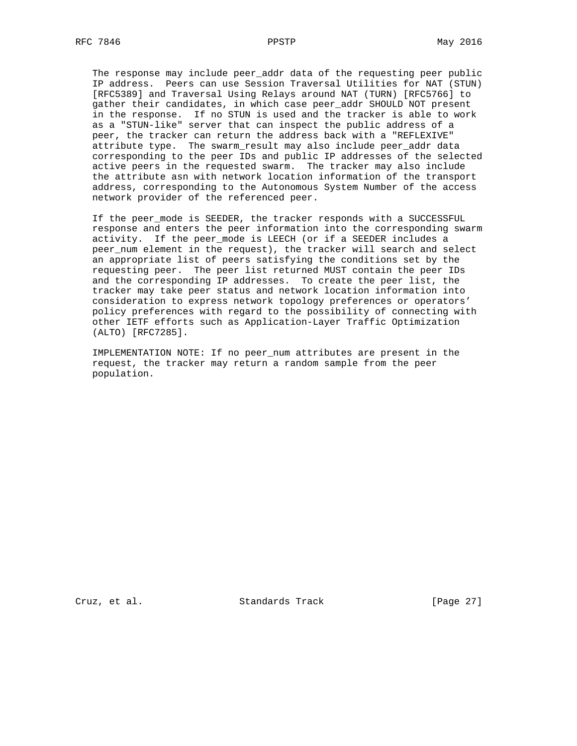The response may include peer\_addr data of the requesting peer public IP address. Peers can use Session Traversal Utilities for NAT (STUN) [RFC5389] and Traversal Using Relays around NAT (TURN) [RFC5766] to gather their candidates, in which case peer\_addr SHOULD NOT present in the response. If no STUN is used and the tracker is able to work as a "STUN-like" server that can inspect the public address of a peer, the tracker can return the address back with a "REFLEXIVE" attribute type. The swarm\_result may also include peer\_addr data corresponding to the peer IDs and public IP addresses of the selected active peers in the requested swarm. The tracker may also include the attribute asn with network location information of the transport address, corresponding to the Autonomous System Number of the access network provider of the referenced peer.

 If the peer\_mode is SEEDER, the tracker responds with a SUCCESSFUL response and enters the peer information into the corresponding swarm activity. If the peer\_mode is LEECH (or if a SEEDER includes a peer\_num element in the request), the tracker will search and select an appropriate list of peers satisfying the conditions set by the requesting peer. The peer list returned MUST contain the peer IDs and the corresponding IP addresses. To create the peer list, the tracker may take peer status and network location information into consideration to express network topology preferences or operators' policy preferences with regard to the possibility of connecting with other IETF efforts such as Application-Layer Traffic Optimization (ALTO) [RFC7285].

 IMPLEMENTATION NOTE: If no peer\_num attributes are present in the request, the tracker may return a random sample from the peer population.

Cruz, et al. Standards Track [Page 27]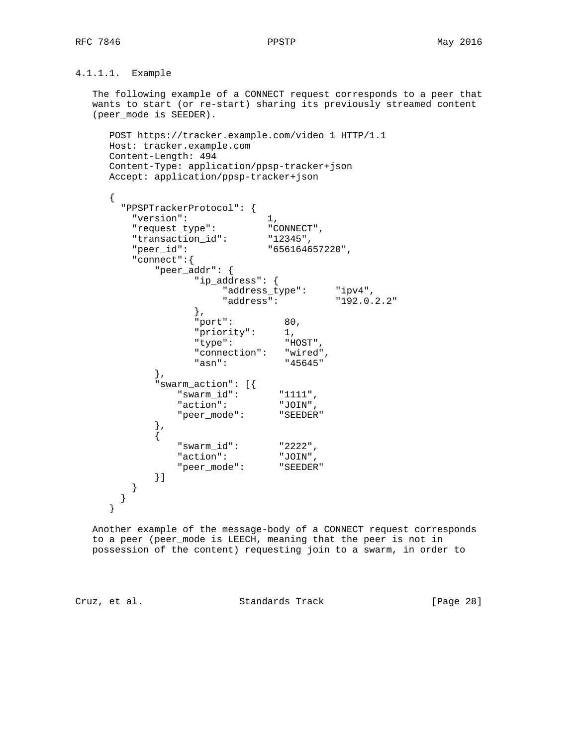4.1.1.1. Example

 The following example of a CONNECT request corresponds to a peer that wants to start (or re-start) sharing its previously streamed content (peer\_mode is SEEDER).

```
 POST https://tracker.example.com/video_1 HTTP/1.1
 Host: tracker.example.com
 Content-Length: 494
 Content-Type: application/ppsp-tracker+json
 Accept: application/ppsp-tracker+json
```

```
 {
      "PPSPTrackerProtocol": {
 "version": 1,
 "request_type": "CONNECT",
 "transaction_id": "12345",
 "peer_id": "656164657220",
        "connect":{
          "peer_addr": {
               "ip_address": {
                   "address_type": "ipv4",
              "address":<br>},
\},
 "port": 80,
"priority": 1,
 "type": "HOST",
              "connection": "wired",<br>"asn": "45645"
              "ann": },
           "swarm_action": [{
             "swarm_id": "1111",
             "action": "JOIN",
            "peer mode": "SEEDER"
          },
 {
             "swarm_id": "2222",
            "action":
             "peer_mode": "SEEDER"
          }]
       }
      }
     }
```
 Another example of the message-body of a CONNECT request corresponds to a peer (peer\_mode is LEECH, meaning that the peer is not in possession of the content) requesting join to a swarm, in order to

Cruz, et al. Standards Track [Page 28]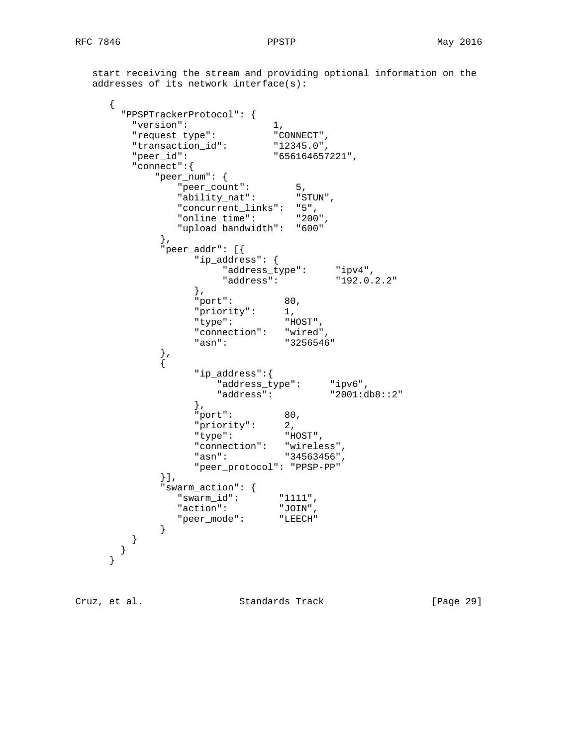start receiving the stream and providing optional information on the addresses of its network interface(s):

```
 {
      "PPSPTrackerProtocol": {
 "version": 1,
 "request_type": "CONNECT",
 "transaction_id": "12345.0",
       "peer_id": "656164657221",
       "connect":{
         "peer_num": {<br>"peer_count":
 "peer_count": 5,
 "ability_nat": "STUN",
 "concurrent_links": "5",
 "online_time": "200",
            "upload_bandwidth": "600"
          },
           "peer_addr": [{
              "ip_address": {
 "address_type": "ipv4",
 "address": "192.0.2.2"
\},
 "port": 80,
 "priority": 1,
 "type": "HOST",
             "connection": "wired",<br>"asn": "3256546"
             "ann":\left\{ \begin{array}{c} \text{ } \\ \text{ } \\ \text{ } \\ \text{ } \end{array} \right. {
              "ip_address":{
 "address_type": "ipv6",
 "address": "2001:db8::2"
\},
              "port": 80,
 "priority": 2,
 "type": "HOST",
 "connection": "wireless",
 "asn": "34563456",
              "peer_protocol": "PPSP-PP"
          }],
           "swarm_action": {
            "swarm_id": "1111",
            "action": "JOIN",
            "peer_mode": "LEECH"
 }
 }
 }
 }
```
Cruz, et al. Standards Track [Page 29]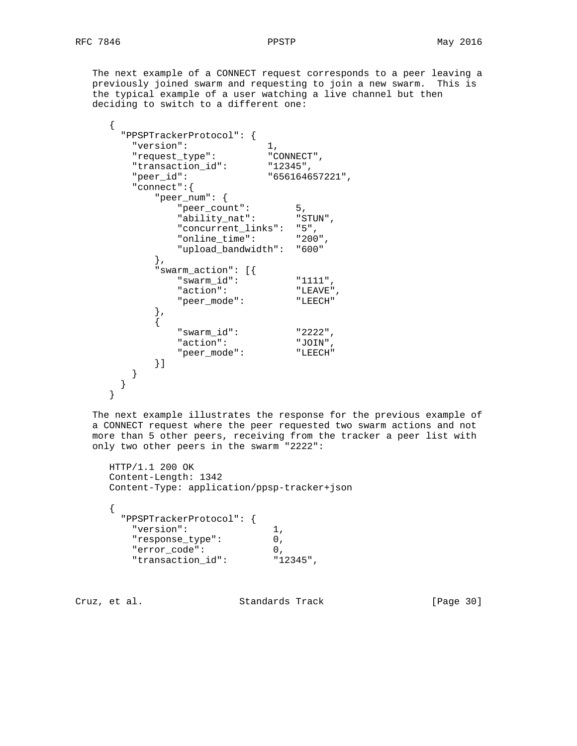The next example of a CONNECT request corresponds to a peer leaving a previously joined swarm and requesting to join a new swarm. This is the typical example of a user watching a live channel but then deciding to switch to a different one:

```
 {
        "PPSPTrackerProtocol": {
 "version": 1,
 "request_type": "CONNECT",
 "transaction_id": "12345",
          "peer_id": "656164657221",
          "connect":{
              "peer_num": {
                 "peer_count": 5,<br>"ability nat": "STUN",
                  "ability_nat": "STUN",
                  "concurrent_links": "5",
                  "online_time": "200",
                  "upload_bandwidth": "600"
              },
              "swarm_action": [{
                  "swarm_id": "1111",
                 "action": "LEAVE",<br>"peer mode": "LEECH"
                 "peer_mode":
              },
\{"swarm_id":
                 "swarm_id":<br>
"action": "JOIN",<br>
"beer mode": "LEECH"
                 "peer_mode":
              }]
          }
        }
      }
```
 The next example illustrates the response for the previous example of a CONNECT request where the peer requested two swarm actions and not more than 5 other peers, receiving from the tracker a peer list with only two other peers in the swarm "2222":

```
 HTTP/1.1 200 OK
 Content-Length: 1342
 Content-Type: application/ppsp-tracker+json
 {
   "PPSPTrackerProtocol": {
    "version": 1,
    "response_type": 0,
    "error_code": 0,
    "transaction_id": "12345",
```
Cruz, et al. Standards Track [Page 30]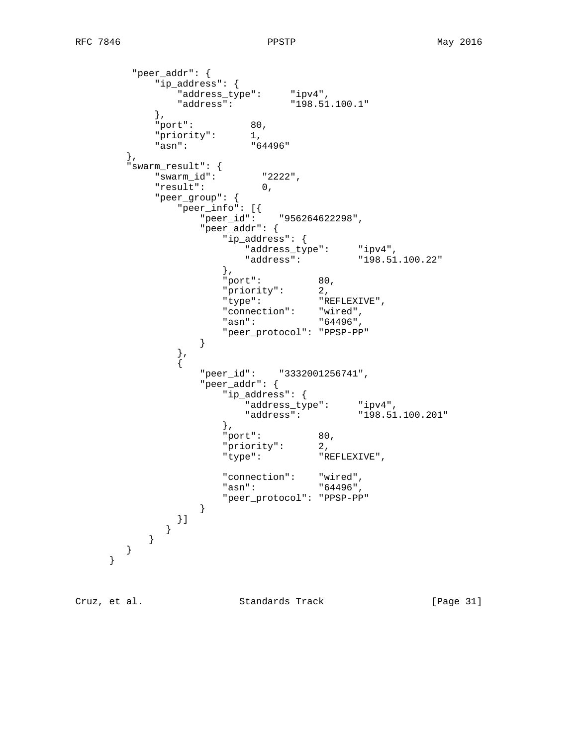```
 "peer_addr": {
        "ip_address": {
 "address_type": "ipv4",
 "address": "198.51.100.1"
        },
        "port": 80,
       "priority": 1,<br>"asn": "64496"
       "ann": },
     "swarm_result": {
              "2222",<br>0,
        "result": 0,
        "peer_group": {
 "peer_info": [{
 "peer_id": "956264622298",
            "peer_addr": {
              "ip_address": {
 "address_type": "ipv4",
 "address": "198.51.100.22"
\}, \{ "port": 80,
 "priority": 2,
 "type": "REFLEXIVE",
 "connection": "wired",
 "asn": "64496",
               "peer_protocol": "PPSP-PP"
 }
          },
\{ "peer_id": "3332001256741",
            "peer_addr": {
               "ip_address": {
 "address_type": "ipv4",
 "address": "198.51.100.201"
\}, \{ "port": 80,
 "priority": 2,
 "type": "REFLEXIVE",
 "connection": "wired",
 "asn": "64496",
               "peer_protocol": "PPSP-PP"
 }
          }]
         }
       }
     }
    }
```
Cruz, et al. Standards Track [Page 31]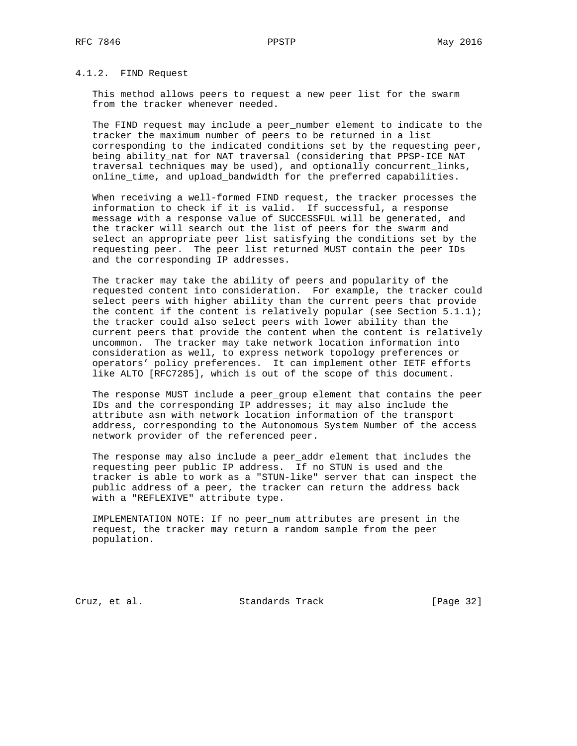# 4.1.2. FIND Request

 This method allows peers to request a new peer list for the swarm from the tracker whenever needed.

 The FIND request may include a peer\_number element to indicate to the tracker the maximum number of peers to be returned in a list corresponding to the indicated conditions set by the requesting peer, being ability\_nat for NAT traversal (considering that PPSP-ICE NAT traversal techniques may be used), and optionally concurrent\_links, online\_time, and upload\_bandwidth for the preferred capabilities.

 When receiving a well-formed FIND request, the tracker processes the information to check if it is valid. If successful, a response message with a response value of SUCCESSFUL will be generated, and the tracker will search out the list of peers for the swarm and select an appropriate peer list satisfying the conditions set by the requesting peer. The peer list returned MUST contain the peer IDs and the corresponding IP addresses.

 The tracker may take the ability of peers and popularity of the requested content into consideration. For example, the tracker could select peers with higher ability than the current peers that provide the content if the content is relatively popular (see Section  $5.1.1$ ); the tracker could also select peers with lower ability than the current peers that provide the content when the content is relatively uncommon. The tracker may take network location information into consideration as well, to express network topology preferences or operators' policy preferences. It can implement other IETF efforts like ALTO [RFC7285], which is out of the scope of this document.

 The response MUST include a peer\_group element that contains the peer IDs and the corresponding IP addresses; it may also include the attribute asn with network location information of the transport address, corresponding to the Autonomous System Number of the access network provider of the referenced peer.

 The response may also include a peer\_addr element that includes the requesting peer public IP address. If no STUN is used and the tracker is able to work as a "STUN-like" server that can inspect the public address of a peer, the tracker can return the address back with a "REFLEXIVE" attribute type.

 IMPLEMENTATION NOTE: If no peer\_num attributes are present in the request, the tracker may return a random sample from the peer population.

Cruz, et al. Standards Track [Page 32]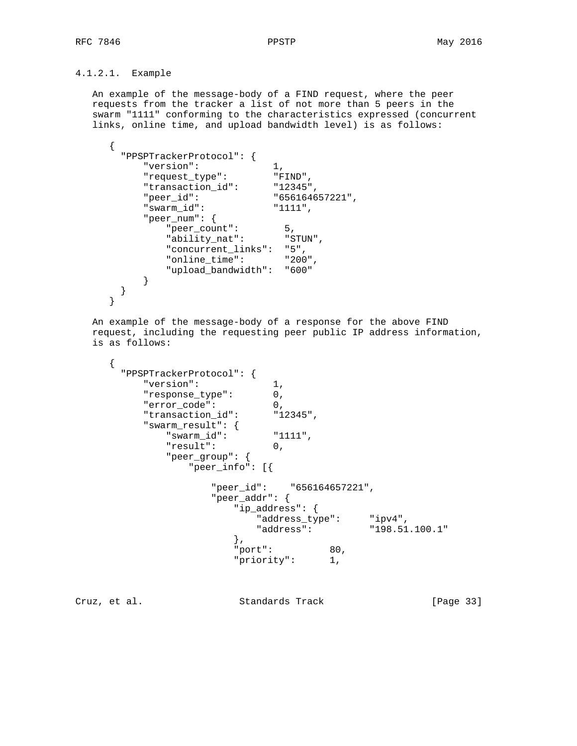# 4.1.2.1. Example

 An example of the message-body of a FIND request, where the peer requests from the tracker a list of not more than 5 peers in the swarm "1111" conforming to the characteristics expressed (concurrent links, online time, and upload bandwidth level) is as follows:

```
 {
       "PPSPTrackerProtocol": {
 "version": 1,
 "request_type": "FIND",
 "transaction_id": "12345",
         "peer_id": "656164657221",<br>"swarm_id": "1111",
          "swarm_id":
           "peer_num": {
 "peer_count": 5,
 "ability_nat": "STUN",
             "concurrent_links": "5",<br>"online time": "200",
             "online_time":
              "upload_bandwidth": "600"
          }
       }
     }
```
 An example of the message-body of a response for the above FIND request, including the requesting peer public IP address information, is as follows:

```
\{ "PPSPTrackerProtocol": {
         "version": 1,
         "response_type": 0,
         "error_code": 0,
 "transaction_id": "12345",
 "swarm_result": {
 "swarm_id": "1111",
 "result": 0,
            "peer_group": {
               "peer_info": [{
                  "peer_id": "656164657221",
                  "peer_addr": {
                    "ip_address": {
                       "address_type": "ipv4",
                       "address": "198.51.100.1"
\},
                     "port": 80,
                    "priority": 1,
```
Cruz, et al. Standards Track [Page 33]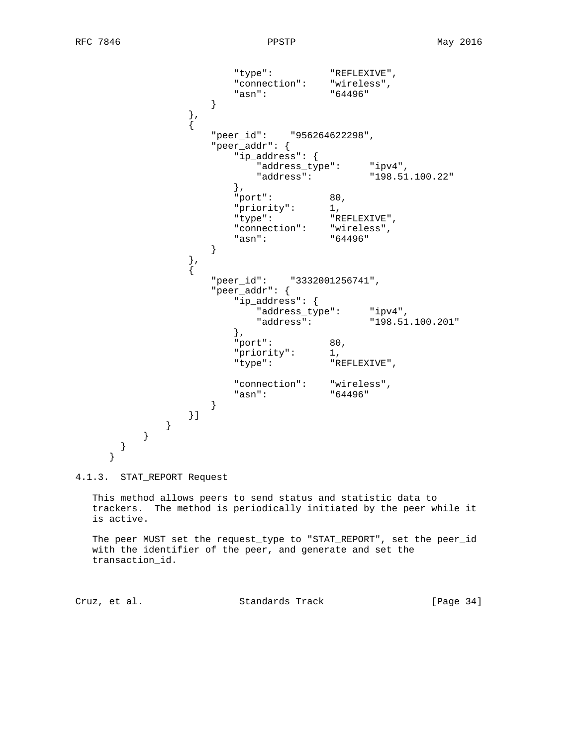```
 "type": "REFLEXIVE",
                       "connection": "wireless",
                    "asn": "64496"
 }
                } , \left\{ \right.{
                    "peer_id": "956264622298",
                    "peer_addr": {
                       "ip_address": {
                          "address_type": "ipv4",
                      "address": "198.51.100.22"<br>},
\},
                       "port": 80,
"priority": 1,
 "type": "REFLEXIVE",
                      "connection": "wireless",<br>"asn": "64496"
                   "asn":<br>}
 }
                \left\{ \begin{array}{c} \text{ } \\ \text{ } \\ \text{ } \\ \text{ } \end{array} \right.\{ "peer_id": "3332001256741",
                    "peer_addr": {
                       "ip_address": {
                         "address_type": "ipv4",<br>"address": "198.51.100.201"
                         "address":
\},
                       "port": 80,
                       "priority": 1,
                       "type": "REFLEXIVE",
                       "connection": "wireless",
                       "asn": "64496"
 }
                }]
             }
         }
      }
     }
```
4.1.3. STAT\_REPORT Request

 This method allows peers to send status and statistic data to trackers. The method is periodically initiated by the peer while it is active.

 The peer MUST set the request\_type to "STAT\_REPORT", set the peer\_id with the identifier of the peer, and generate and set the transaction\_id.

Cruz, et al. Standards Track [Page 34]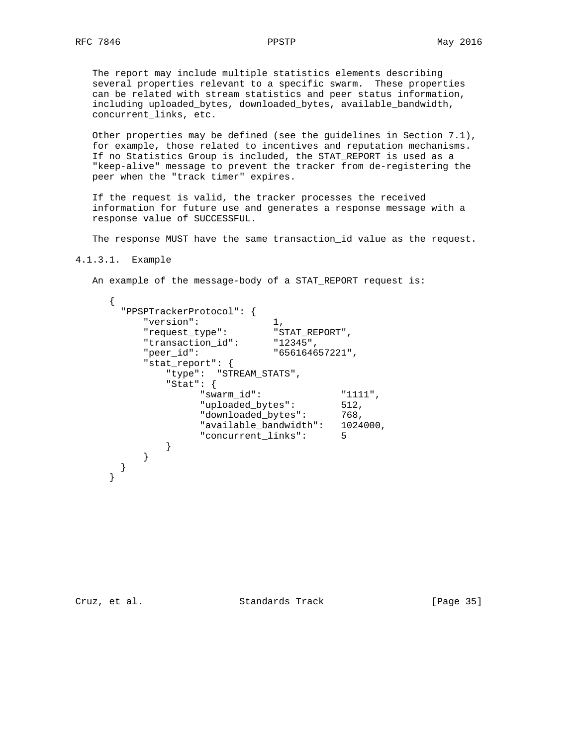The report may include multiple statistics elements describing several properties relevant to a specific swarm. These properties can be related with stream statistics and peer status information, including uploaded\_bytes, downloaded\_bytes, available\_bandwidth, concurrent\_links, etc.

 Other properties may be defined (see the guidelines in Section 7.1), for example, those related to incentives and reputation mechanisms. If no Statistics Group is included, the STAT\_REPORT is used as a "keep-alive" message to prevent the tracker from de-registering the peer when the "track timer" expires.

 If the request is valid, the tracker processes the received information for future use and generates a response message with a response value of SUCCESSFUL.

The response MUST have the same transaction\_id value as the request.

4.1.3.1. Example

An example of the message-body of a STAT\_REPORT request is:

```
 {
        "PPSPTrackerProtocol": {
           "version": 1,
          "request_type": "STAT_REPORT",<br>"transaction id": "12345",
           "transaction_id":
          "peer_id": "656164657221",
           "stat_report": {
               "type": "STREAM_STATS",
               "Stat": {
                     "swarm_id": "1111",
                     "uploaded_bytes": 512,
                    "downloaded bytes": 768,
                     "available_bandwidth": 1024000,
                     "concurrent_links": 5
 }
          }
       }
      }
```
Cruz, et al. Standards Track [Page 35]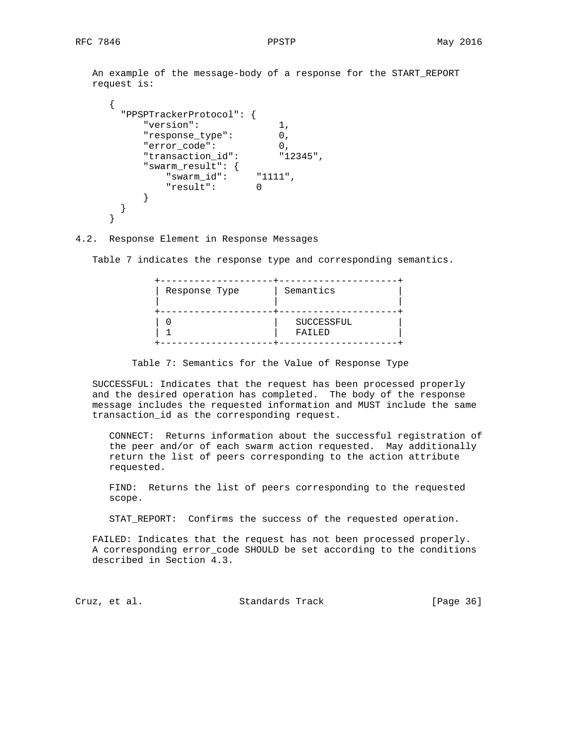An example of the message-body of a response for the START\_REPORT request is:

```
 {
       "PPSPTrackerProtocol": {
          "version": 1,
          "response_type": 0,
          "error_code": 0,
 "transaction_id": "12345",
 "swarm_result": {
 "swarm_id": "1111",
             .rm_result<br>"swarm_id": "1<br>"... 0
          }
       }
     }
```
4.2. Response Element in Response Messages

Table 7 indicates the response type and corresponding semantics.

| Response Type | Semantics            |
|---------------|----------------------|
|               | SUCCESSFUL<br>FAILED |

Table 7: Semantics for the Value of Response Type

 SUCCESSFUL: Indicates that the request has been processed properly and the desired operation has completed. The body of the response message includes the requested information and MUST include the same transaction\_id as the corresponding request.

 CONNECT: Returns information about the successful registration of the peer and/or of each swarm action requested. May additionally return the list of peers corresponding to the action attribute requested.

 FIND: Returns the list of peers corresponding to the requested scope.

STAT\_REPORT: Confirms the success of the requested operation.

 FAILED: Indicates that the request has not been processed properly. A corresponding error\_code SHOULD be set according to the conditions described in Section 4.3.

Cruz, et al. Standards Track [Page 36]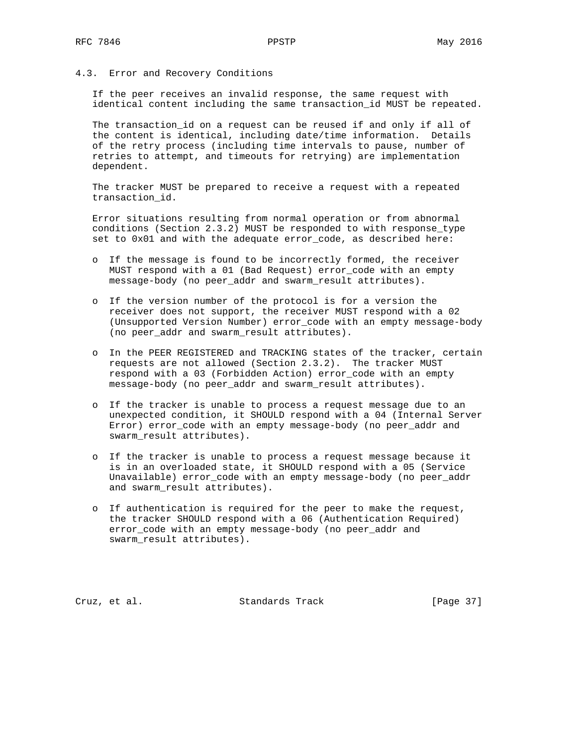4.3. Error and Recovery Conditions

 If the peer receives an invalid response, the same request with identical content including the same transaction\_id MUST be repeated.

 The transaction\_id on a request can be reused if and only if all of the content is identical, including date/time information. Details of the retry process (including time intervals to pause, number of retries to attempt, and timeouts for retrying) are implementation dependent.

 The tracker MUST be prepared to receive a request with a repeated transaction\_id.

 Error situations resulting from normal operation or from abnormal conditions (Section 2.3.2) MUST be responded to with response\_type set to 0x01 and with the adequate error\_code, as described here:

- o If the message is found to be incorrectly formed, the receiver MUST respond with a 01 (Bad Request) error\_code with an empty message-body (no peer\_addr and swarm\_result attributes).
- o If the version number of the protocol is for a version the receiver does not support, the receiver MUST respond with a 02 (Unsupported Version Number) error\_code with an empty message-body (no peer\_addr and swarm\_result attributes).
- o In the PEER REGISTERED and TRACKING states of the tracker, certain requests are not allowed (Section 2.3.2). The tracker MUST respond with a 03 (Forbidden Action) error\_code with an empty message-body (no peer\_addr and swarm\_result attributes).
- o If the tracker is unable to process a request message due to an unexpected condition, it SHOULD respond with a 04 (Internal Server Error) error\_code with an empty message-body (no peer\_addr and swarm\_result attributes).
- o If the tracker is unable to process a request message because it is in an overloaded state, it SHOULD respond with a 05 (Service Unavailable) error\_code with an empty message-body (no peer\_addr and swarm\_result attributes).
- o If authentication is required for the peer to make the request, the tracker SHOULD respond with a 06 (Authentication Required) error\_code with an empty message-body (no peer\_addr and swarm\_result attributes).

Cruz, et al. Standards Track [Page 37]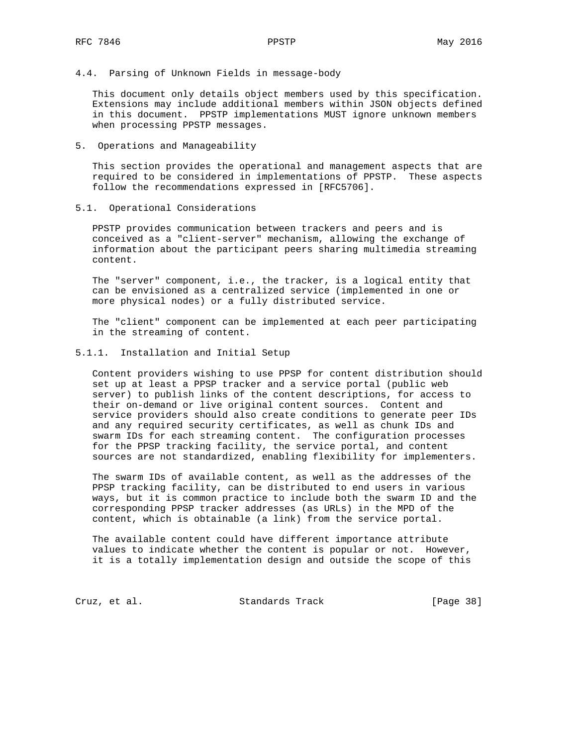4.4. Parsing of Unknown Fields in message-body

 This document only details object members used by this specification. Extensions may include additional members within JSON objects defined in this document. PPSTP implementations MUST ignore unknown members when processing PPSTP messages.

5. Operations and Manageability

 This section provides the operational and management aspects that are required to be considered in implementations of PPSTP. These aspects follow the recommendations expressed in [RFC5706].

5.1. Operational Considerations

 PPSTP provides communication between trackers and peers and is conceived as a "client-server" mechanism, allowing the exchange of information about the participant peers sharing multimedia streaming content.

 The "server" component, i.e., the tracker, is a logical entity that can be envisioned as a centralized service (implemented in one or more physical nodes) or a fully distributed service.

 The "client" component can be implemented at each peer participating in the streaming of content.

5.1.1. Installation and Initial Setup

 Content providers wishing to use PPSP for content distribution should set up at least a PPSP tracker and a service portal (public web server) to publish links of the content descriptions, for access to their on-demand or live original content sources. Content and service providers should also create conditions to generate peer IDs and any required security certificates, as well as chunk IDs and swarm IDs for each streaming content. The configuration processes for the PPSP tracking facility, the service portal, and content sources are not standardized, enabling flexibility for implementers.

 The swarm IDs of available content, as well as the addresses of the PPSP tracking facility, can be distributed to end users in various ways, but it is common practice to include both the swarm ID and the corresponding PPSP tracker addresses (as URLs) in the MPD of the content, which is obtainable (a link) from the service portal.

 The available content could have different importance attribute values to indicate whether the content is popular or not. However, it is a totally implementation design and outside the scope of this

Cruz, et al. Standards Track [Page 38]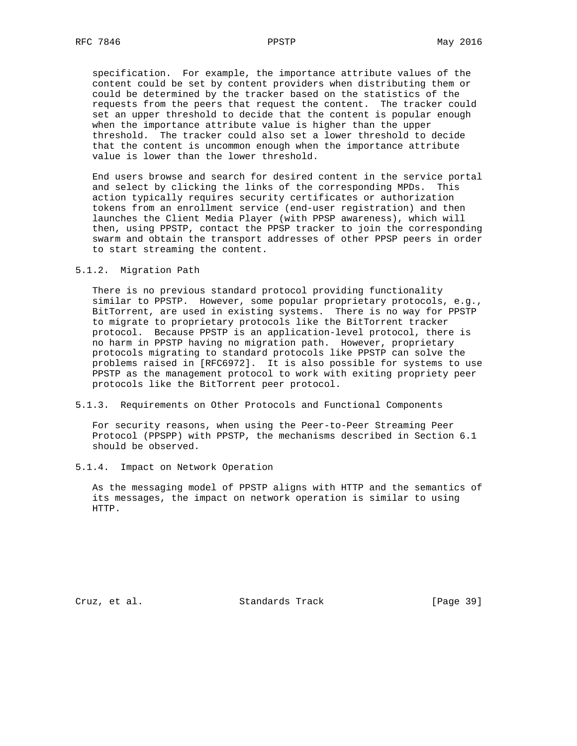specification. For example, the importance attribute values of the content could be set by content providers when distributing them or could be determined by the tracker based on the statistics of the requests from the peers that request the content. The tracker could set an upper threshold to decide that the content is popular enough when the importance attribute value is higher than the upper threshold. The tracker could also set a lower threshold to decide that the content is uncommon enough when the importance attribute value is lower than the lower threshold.

 End users browse and search for desired content in the service portal and select by clicking the links of the corresponding MPDs. This action typically requires security certificates or authorization tokens from an enrollment service (end-user registration) and then launches the Client Media Player (with PPSP awareness), which will then, using PPSTP, contact the PPSP tracker to join the corresponding swarm and obtain the transport addresses of other PPSP peers in order to start streaming the content.

#### 5.1.2. Migration Path

 There is no previous standard protocol providing functionality similar to PPSTP. However, some popular proprietary protocols, e.g., BitTorrent, are used in existing systems. There is no way for PPSTP to migrate to proprietary protocols like the BitTorrent tracker protocol. Because PPSTP is an application-level protocol, there is no harm in PPSTP having no migration path. However, proprietary protocols migrating to standard protocols like PPSTP can solve the problems raised in [RFC6972]. It is also possible for systems to use PPSTP as the management protocol to work with exiting propriety peer protocols like the BitTorrent peer protocol.

#### 5.1.3. Requirements on Other Protocols and Functional Components

 For security reasons, when using the Peer-to-Peer Streaming Peer Protocol (PPSPP) with PPSTP, the mechanisms described in Section 6.1 should be observed.

5.1.4. Impact on Network Operation

 As the messaging model of PPSTP aligns with HTTP and the semantics of its messages, the impact on network operation is similar to using HTTP.

Cruz, et al. Standards Track [Page 39]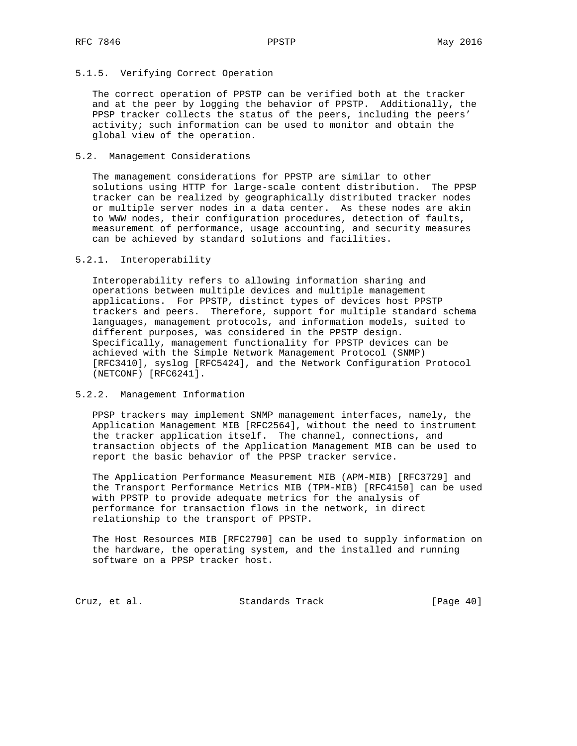## 5.1.5. Verifying Correct Operation

 The correct operation of PPSTP can be verified both at the tracker and at the peer by logging the behavior of PPSTP. Additionally, the PPSP tracker collects the status of the peers, including the peers' activity; such information can be used to monitor and obtain the global view of the operation.

#### 5.2. Management Considerations

 The management considerations for PPSTP are similar to other solutions using HTTP for large-scale content distribution. The PPSP tracker can be realized by geographically distributed tracker nodes or multiple server nodes in a data center. As these nodes are akin to WWW nodes, their configuration procedures, detection of faults, measurement of performance, usage accounting, and security measures can be achieved by standard solutions and facilities.

#### 5.2.1. Interoperability

 Interoperability refers to allowing information sharing and operations between multiple devices and multiple management applications. For PPSTP, distinct types of devices host PPSTP trackers and peers. Therefore, support for multiple standard schema languages, management protocols, and information models, suited to different purposes, was considered in the PPSTP design. Specifically, management functionality for PPSTP devices can be achieved with the Simple Network Management Protocol (SNMP) [RFC3410], syslog [RFC5424], and the Network Configuration Protocol (NETCONF) [RFC6241].

### 5.2.2. Management Information

 PPSP trackers may implement SNMP management interfaces, namely, the Application Management MIB [RFC2564], without the need to instrument the tracker application itself. The channel, connections, and transaction objects of the Application Management MIB can be used to report the basic behavior of the PPSP tracker service.

 The Application Performance Measurement MIB (APM-MIB) [RFC3729] and the Transport Performance Metrics MIB (TPM-MIB) [RFC4150] can be used with PPSTP to provide adequate metrics for the analysis of performance for transaction flows in the network, in direct relationship to the transport of PPSTP.

 The Host Resources MIB [RFC2790] can be used to supply information on the hardware, the operating system, and the installed and running software on a PPSP tracker host.

Cruz, et al. Standards Track [Page 40]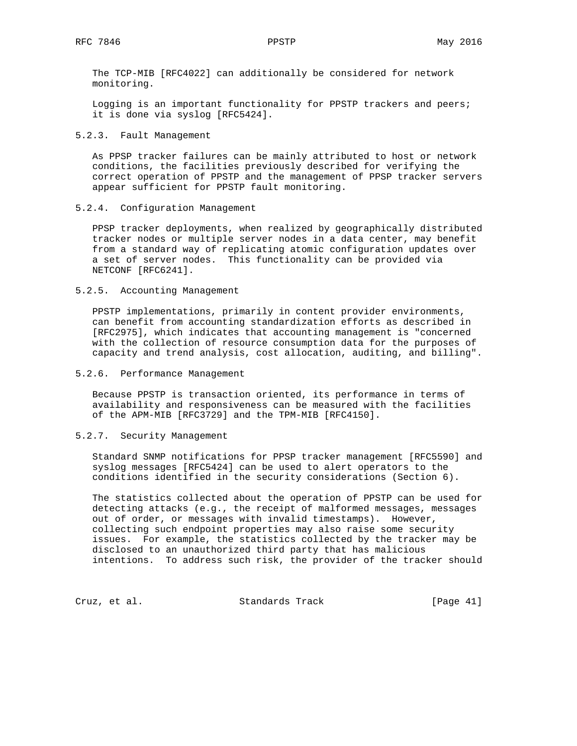The TCP-MIB [RFC4022] can additionally be considered for network monitoring.

 Logging is an important functionality for PPSTP trackers and peers; it is done via syslog [RFC5424].

#### 5.2.3. Fault Management

 As PPSP tracker failures can be mainly attributed to host or network conditions, the facilities previously described for verifying the correct operation of PPSTP and the management of PPSP tracker servers appear sufficient for PPSTP fault monitoring.

#### 5.2.4. Configuration Management

 PPSP tracker deployments, when realized by geographically distributed tracker nodes or multiple server nodes in a data center, may benefit from a standard way of replicating atomic configuration updates over a set of server nodes. This functionality can be provided via NETCONF [RFC6241].

### 5.2.5. Accounting Management

 PPSTP implementations, primarily in content provider environments, can benefit from accounting standardization efforts as described in [RFC2975], which indicates that accounting management is "concerned with the collection of resource consumption data for the purposes of capacity and trend analysis, cost allocation, auditing, and billing".

# 5.2.6. Performance Management

 Because PPSTP is transaction oriented, its performance in terms of availability and responsiveness can be measured with the facilities of the APM-MIB [RFC3729] and the TPM-MIB [RFC4150].

## 5.2.7. Security Management

 Standard SNMP notifications for PPSP tracker management [RFC5590] and syslog messages [RFC5424] can be used to alert operators to the conditions identified in the security considerations (Section 6).

 The statistics collected about the operation of PPSTP can be used for detecting attacks (e.g., the receipt of malformed messages, messages out of order, or messages with invalid timestamps). However, collecting such endpoint properties may also raise some security issues. For example, the statistics collected by the tracker may be disclosed to an unauthorized third party that has malicious intentions. To address such risk, the provider of the tracker should

Cruz, et al. Standards Track [Page 41]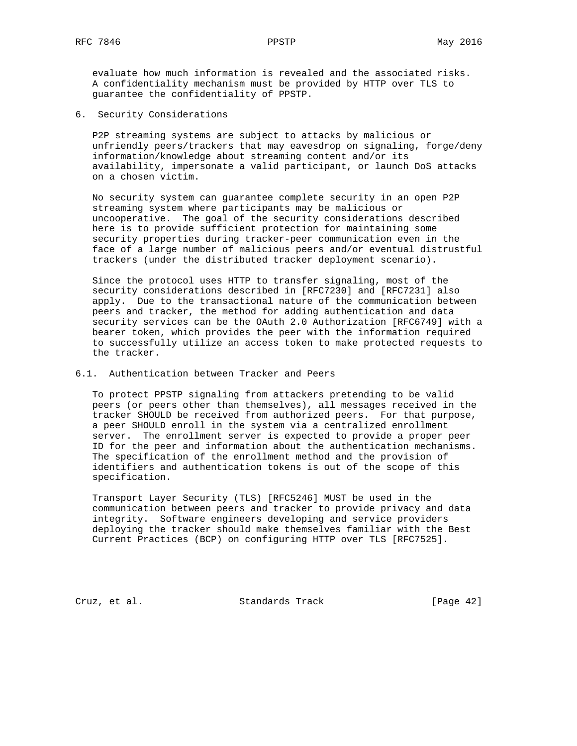6. Security Considerations

 P2P streaming systems are subject to attacks by malicious or unfriendly peers/trackers that may eavesdrop on signaling, forge/deny information/knowledge about streaming content and/or its availability, impersonate a valid participant, or launch DoS attacks on a chosen victim.

 No security system can guarantee complete security in an open P2P streaming system where participants may be malicious or uncooperative. The goal of the security considerations described here is to provide sufficient protection for maintaining some security properties during tracker-peer communication even in the face of a large number of malicious peers and/or eventual distrustful trackers (under the distributed tracker deployment scenario).

 Since the protocol uses HTTP to transfer signaling, most of the security considerations described in [RFC7230] and [RFC7231] also apply. Due to the transactional nature of the communication between peers and tracker, the method for adding authentication and data security services can be the OAuth 2.0 Authorization [RFC6749] with a bearer token, which provides the peer with the information required to successfully utilize an access token to make protected requests to the tracker.

#### 6.1. Authentication between Tracker and Peers

 To protect PPSTP signaling from attackers pretending to be valid peers (or peers other than themselves), all messages received in the tracker SHOULD be received from authorized peers. For that purpose, a peer SHOULD enroll in the system via a centralized enrollment server. The enrollment server is expected to provide a proper peer ID for the peer and information about the authentication mechanisms. The specification of the enrollment method and the provision of identifiers and authentication tokens is out of the scope of this specification.

 Transport Layer Security (TLS) [RFC5246] MUST be used in the communication between peers and tracker to provide privacy and data integrity. Software engineers developing and service providers deploying the tracker should make themselves familiar with the Best Current Practices (BCP) on configuring HTTP over TLS [RFC7525].

Cruz, et al. Standards Track [Page 42]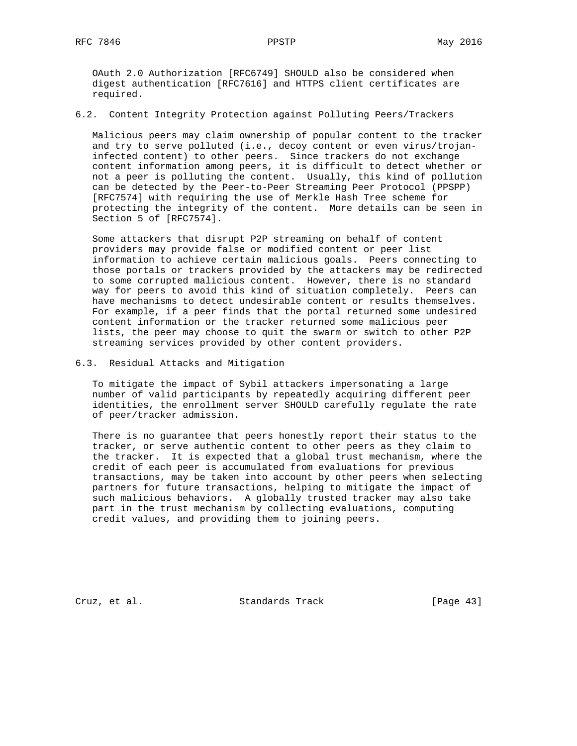OAuth 2.0 Authorization [RFC6749] SHOULD also be considered when digest authentication [RFC7616] and HTTPS client certificates are required.

6.2. Content Integrity Protection against Polluting Peers/Trackers

 Malicious peers may claim ownership of popular content to the tracker and try to serve polluted (i.e., decoy content or even virus/trojan infected content) to other peers. Since trackers do not exchange content information among peers, it is difficult to detect whether or not a peer is polluting the content. Usually, this kind of pollution can be detected by the Peer-to-Peer Streaming Peer Protocol (PPSPP) [RFC7574] with requiring the use of Merkle Hash Tree scheme for protecting the integrity of the content. More details can be seen in Section 5 of [RFC7574].

 Some attackers that disrupt P2P streaming on behalf of content providers may provide false or modified content or peer list information to achieve certain malicious goals. Peers connecting to those portals or trackers provided by the attackers may be redirected to some corrupted malicious content. However, there is no standard way for peers to avoid this kind of situation completely. Peers can have mechanisms to detect undesirable content or results themselves. For example, if a peer finds that the portal returned some undesired content information or the tracker returned some malicious peer lists, the peer may choose to quit the swarm or switch to other P2P streaming services provided by other content providers.

6.3. Residual Attacks and Mitigation

 To mitigate the impact of Sybil attackers impersonating a large number of valid participants by repeatedly acquiring different peer identities, the enrollment server SHOULD carefully regulate the rate of peer/tracker admission.

 There is no guarantee that peers honestly report their status to the tracker, or serve authentic content to other peers as they claim to the tracker. It is expected that a global trust mechanism, where the credit of each peer is accumulated from evaluations for previous transactions, may be taken into account by other peers when selecting partners for future transactions, helping to mitigate the impact of such malicious behaviors. A globally trusted tracker may also take part in the trust mechanism by collecting evaluations, computing credit values, and providing them to joining peers.

Cruz, et al. Standards Track [Page 43]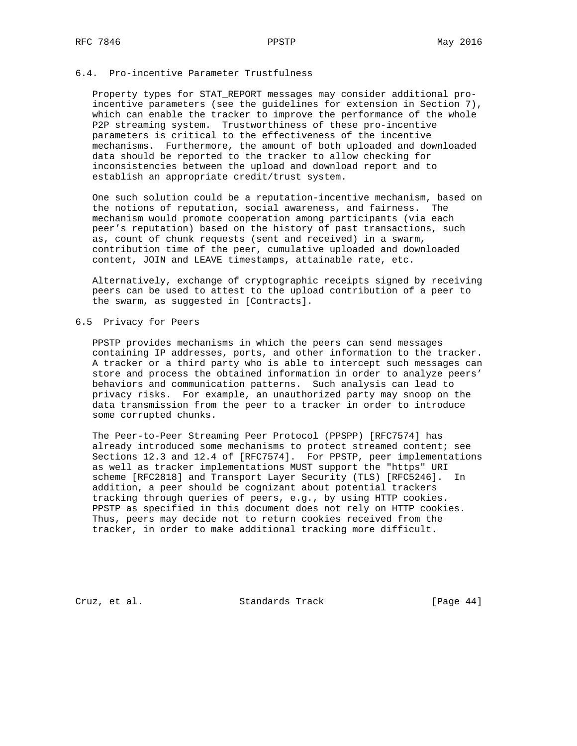## 6.4. Pro-incentive Parameter Trustfulness

 Property types for STAT\_REPORT messages may consider additional pro incentive parameters (see the guidelines for extension in Section 7), which can enable the tracker to improve the performance of the whole P2P streaming system. Trustworthiness of these pro-incentive parameters is critical to the effectiveness of the incentive mechanisms. Furthermore, the amount of both uploaded and downloaded data should be reported to the tracker to allow checking for inconsistencies between the upload and download report and to establish an appropriate credit/trust system.

 One such solution could be a reputation-incentive mechanism, based on the notions of reputation, social awareness, and fairness. The mechanism would promote cooperation among participants (via each peer's reputation) based on the history of past transactions, such as, count of chunk requests (sent and received) in a swarm, contribution time of the peer, cumulative uploaded and downloaded content, JOIN and LEAVE timestamps, attainable rate, etc.

 Alternatively, exchange of cryptographic receipts signed by receiving peers can be used to attest to the upload contribution of a peer to the swarm, as suggested in [Contracts].

## 6.5 Privacy for Peers

 PPSTP provides mechanisms in which the peers can send messages containing IP addresses, ports, and other information to the tracker. A tracker or a third party who is able to intercept such messages can store and process the obtained information in order to analyze peers' behaviors and communication patterns. Such analysis can lead to privacy risks. For example, an unauthorized party may snoop on the data transmission from the peer to a tracker in order to introduce some corrupted chunks.

 The Peer-to-Peer Streaming Peer Protocol (PPSPP) [RFC7574] has already introduced some mechanisms to protect streamed content; see Sections 12.3 and 12.4 of [RFC7574]. For PPSTP, peer implementations as well as tracker implementations MUST support the "https" URI scheme [RFC2818] and Transport Layer Security (TLS) [RFC5246]. In addition, a peer should be cognizant about potential trackers tracking through queries of peers, e.g., by using HTTP cookies. PPSTP as specified in this document does not rely on HTTP cookies. Thus, peers may decide not to return cookies received from the tracker, in order to make additional tracking more difficult.

Cruz, et al. Standards Track [Page 44]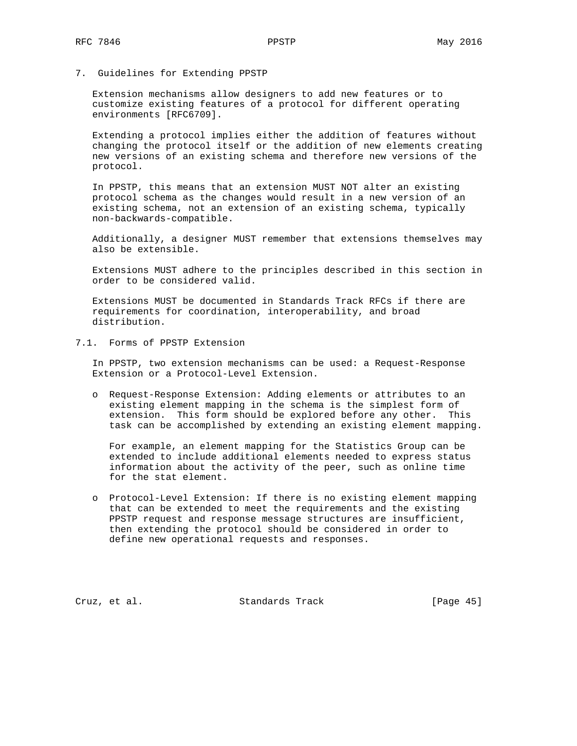7. Guidelines for Extending PPSTP

 Extension mechanisms allow designers to add new features or to customize existing features of a protocol for different operating environments [RFC6709].

 Extending a protocol implies either the addition of features without changing the protocol itself or the addition of new elements creating new versions of an existing schema and therefore new versions of the protocol.

 In PPSTP, this means that an extension MUST NOT alter an existing protocol schema as the changes would result in a new version of an existing schema, not an extension of an existing schema, typically non-backwards-compatible.

 Additionally, a designer MUST remember that extensions themselves may also be extensible.

 Extensions MUST adhere to the principles described in this section in order to be considered valid.

 Extensions MUST be documented in Standards Track RFCs if there are requirements for coordination, interoperability, and broad distribution.

7.1. Forms of PPSTP Extension

 In PPSTP, two extension mechanisms can be used: a Request-Response Extension or a Protocol-Level Extension.

 o Request-Response Extension: Adding elements or attributes to an existing element mapping in the schema is the simplest form of extension. This form should be explored before any other. This task can be accomplished by extending an existing element mapping.

 For example, an element mapping for the Statistics Group can be extended to include additional elements needed to express status information about the activity of the peer, such as online time for the stat element.

 o Protocol-Level Extension: If there is no existing element mapping that can be extended to meet the requirements and the existing PPSTP request and response message structures are insufficient, then extending the protocol should be considered in order to define new operational requests and responses.

Cruz, et al. Standards Track [Page 45]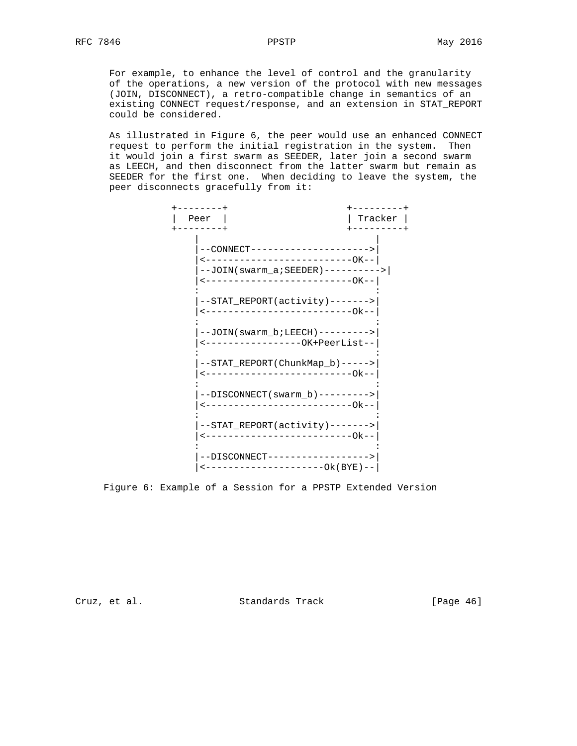For example, to enhance the level of control and the granularity of the operations, a new version of the protocol with new messages (JOIN, DISCONNECT), a retro-compatible change in semantics of an existing CONNECT request/response, and an extension in STAT\_REPORT could be considered.

 As illustrated in Figure 6, the peer would use an enhanced CONNECT request to perform the initial registration in the system. Then it would join a first swarm as SEEDER, later join a second swarm as LEECH, and then disconnect from the latter swarm but remain as SEEDER for the first one. When deciding to leave the system, the peer disconnects gracefully from it:



Figure 6: Example of a Session for a PPSTP Extended Version

Cruz, et al. Standards Track [Page 46]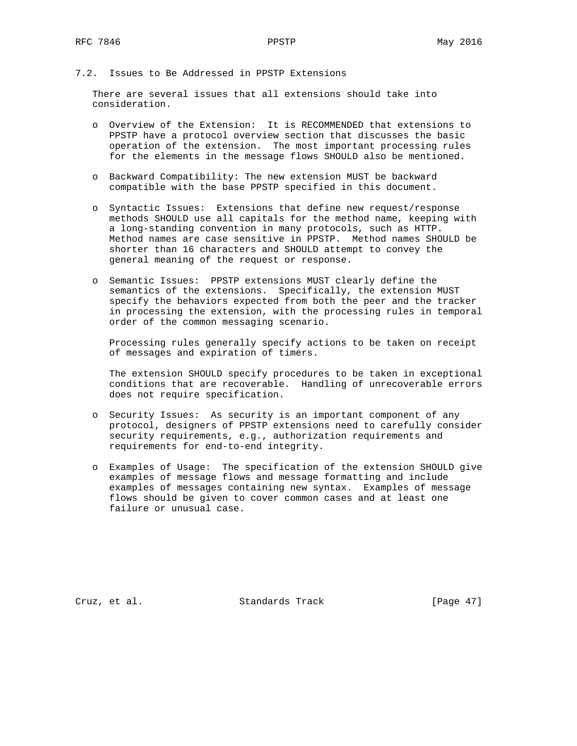# 7.2. Issues to Be Addressed in PPSTP Extensions

 There are several issues that all extensions should take into consideration.

- o Overview of the Extension: It is RECOMMENDED that extensions to PPSTP have a protocol overview section that discusses the basic operation of the extension. The most important processing rules for the elements in the message flows SHOULD also be mentioned.
- o Backward Compatibility: The new extension MUST be backward compatible with the base PPSTP specified in this document.
- o Syntactic Issues: Extensions that define new request/response methods SHOULD use all capitals for the method name, keeping with a long-standing convention in many protocols, such as HTTP. Method names are case sensitive in PPSTP. Method names SHOULD be shorter than 16 characters and SHOULD attempt to convey the general meaning of the request or response.
- o Semantic Issues: PPSTP extensions MUST clearly define the semantics of the extensions. Specifically, the extension MUST specify the behaviors expected from both the peer and the tracker in processing the extension, with the processing rules in temporal order of the common messaging scenario.

 Processing rules generally specify actions to be taken on receipt of messages and expiration of timers.

 The extension SHOULD specify procedures to be taken in exceptional conditions that are recoverable. Handling of unrecoverable errors does not require specification.

- o Security Issues: As security is an important component of any protocol, designers of PPSTP extensions need to carefully consider security requirements, e.g., authorization requirements and requirements for end-to-end integrity.
- o Examples of Usage: The specification of the extension SHOULD give examples of message flows and message formatting and include examples of messages containing new syntax. Examples of message flows should be given to cover common cases and at least one failure or unusual case.

Cruz, et al. Standards Track [Page 47]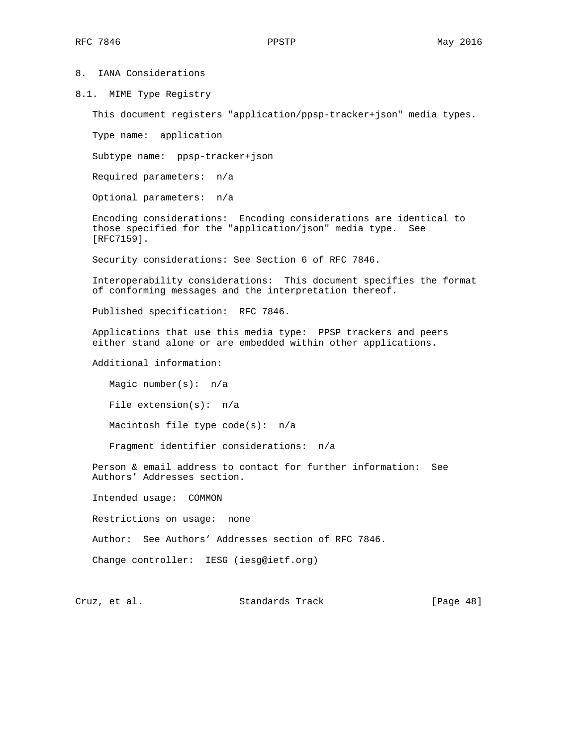## 8. IANA Considerations

8.1. MIME Type Registry

This document registers "application/ppsp-tracker+json" media types.

Type name: application

Subtype name: ppsp-tracker+json

Required parameters: n/a

Optional parameters: n/a

 Encoding considerations: Encoding considerations are identical to those specified for the "application/json" media type. See [RFC7159].

Security considerations: See Section 6 of RFC 7846.

 Interoperability considerations: This document specifies the format of conforming messages and the interpretation thereof.

Published specification: RFC 7846.

 Applications that use this media type: PPSP trackers and peers either stand alone or are embedded within other applications.

Additional information:

 Magic number(s): n/a File extension(s): n/a Macintosh file type code(s): n/a

Fragment identifier considerations: n/a

 Person & email address to contact for further information: See Authors' Addresses section.

Intended usage: COMMON

Restrictions on usage: none

Author: See Authors' Addresses section of RFC 7846.

Change controller: IESG (iesg@ietf.org)

Cruz, et al. Standards Track [Page 48]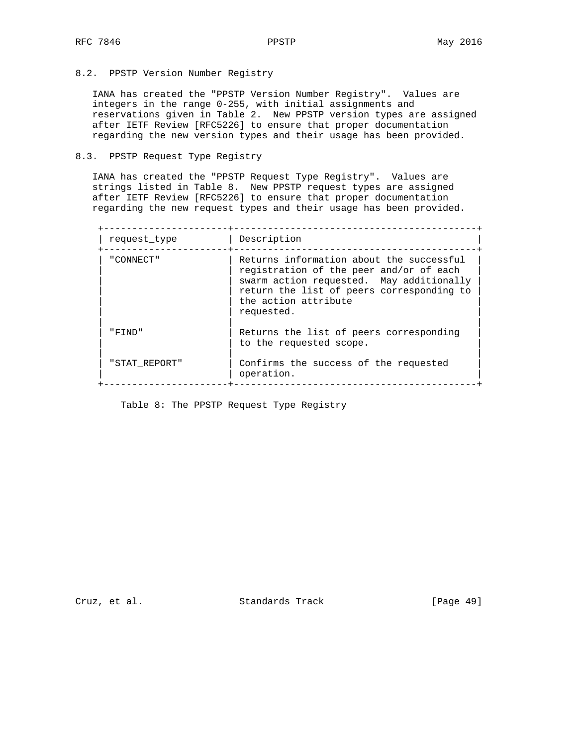8.2. PPSTP Version Number Registry

 IANA has created the "PPSTP Version Number Registry". Values are integers in the range 0-255, with initial assignments and reservations given in Table 2. New PPSTP version types are assigned after IETF Review [RFC5226] to ensure that proper documentation regarding the new version types and their usage has been provided.

## 8.3. PPSTP Request Type Registry

 IANA has created the "PPSTP Request Type Registry". Values are strings listed in Table 8. New PPSTP request types are assigned after IETF Review [RFC5226] to ensure that proper documentation regarding the new request types and their usage has been provided.

 +----------------------+-------------------------------------------+ | request\_type | Description |

| " CONNECT"    | Returns information about the successful<br>registration of the peer and/or of each<br>swarm action requested. May additionally<br>return the list of peers corresponding to<br>the action attribute<br>requested. |
|---------------|--------------------------------------------------------------------------------------------------------------------------------------------------------------------------------------------------------------------|
| "FIND"        | Returns the list of peers corresponding<br>to the requested scope.                                                                                                                                                 |
| "STAT REPORT" | Confirms the success of the requested<br>operation.                                                                                                                                                                |

Table 8: The PPSTP Request Type Registry

Cruz, et al. Standards Track [Page 49]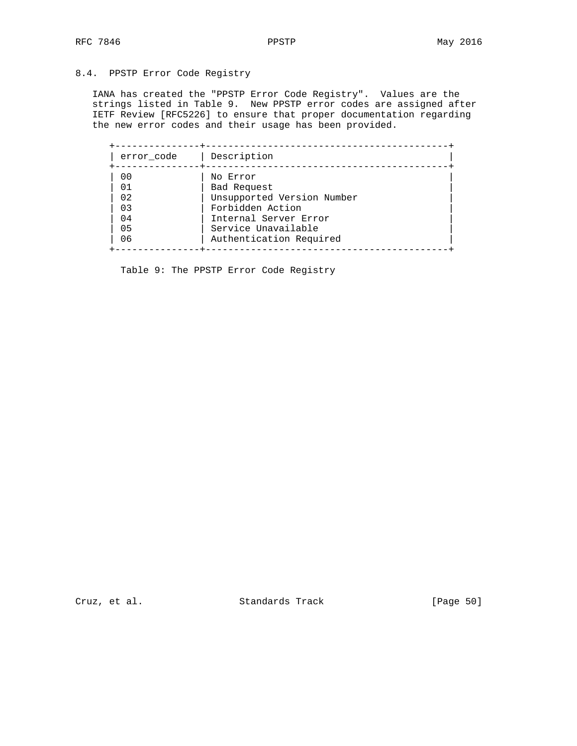# 8.4. PPSTP Error Code Registry

 IANA has created the "PPSTP Error Code Registry". Values are the strings listed in Table 9. New PPSTP error codes are assigned after IETF Review [RFC5226] to ensure that proper documentation regarding the new error codes and their usage has been provided.

| error code | Description                |
|------------|----------------------------|
| 00         | No Error                   |
| 01         | Bad Request                |
| 02         | Unsupported Version Number |
| 03         | Forbidden Action           |
| 04         | Internal Server Error      |
| 05         | Service Unavailable        |
| 06         | Authentication Required    |

Table 9: The PPSTP Error Code Registry

Cruz, et al. Standards Track [Page 50]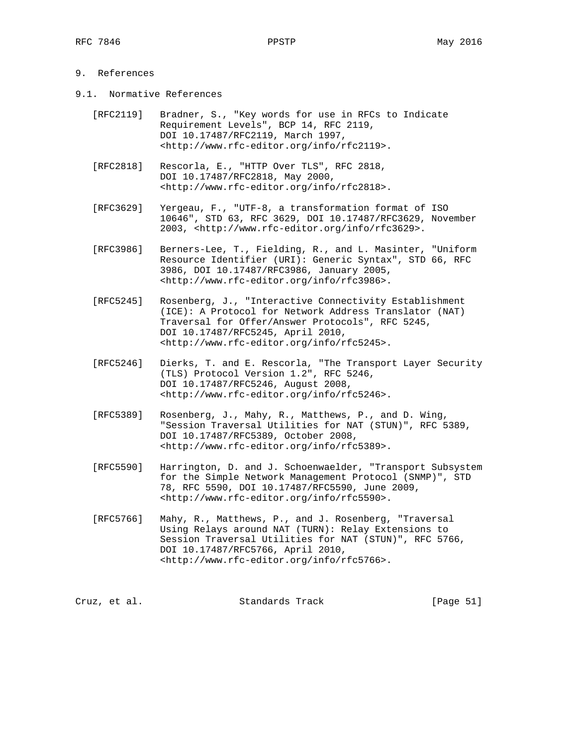# 9. References

- 9.1. Normative References
	- [RFC2119] Bradner, S., "Key words for use in RFCs to Indicate Requirement Levels", BCP 14, RFC 2119, DOI 10.17487/RFC2119, March 1997, <http://www.rfc-editor.org/info/rfc2119>.
	- [RFC2818] Rescorla, E., "HTTP Over TLS", RFC 2818, DOI 10.17487/RFC2818, May 2000, <http://www.rfc-editor.org/info/rfc2818>.
	- [RFC3629] Yergeau, F., "UTF-8, a transformation format of ISO 10646", STD 63, RFC 3629, DOI 10.17487/RFC3629, November 2003, <http://www.rfc-editor.org/info/rfc3629>.
	- [RFC3986] Berners-Lee, T., Fielding, R., and L. Masinter, "Uniform Resource Identifier (URI): Generic Syntax", STD 66, RFC 3986, DOI 10.17487/RFC3986, January 2005, <http://www.rfc-editor.org/info/rfc3986>.
	- [RFC5245] Rosenberg, J., "Interactive Connectivity Establishment (ICE): A Protocol for Network Address Translator (NAT) Traversal for Offer/Answer Protocols", RFC 5245, DOI 10.17487/RFC5245, April 2010, <http://www.rfc-editor.org/info/rfc5245>.
	- [RFC5246] Dierks, T. and E. Rescorla, "The Transport Layer Security (TLS) Protocol Version 1.2", RFC 5246, DOI 10.17487/RFC5246, August 2008, <http://www.rfc-editor.org/info/rfc5246>.
	- [RFC5389] Rosenberg, J., Mahy, R., Matthews, P., and D. Wing, "Session Traversal Utilities for NAT (STUN)", RFC 5389, DOI 10.17487/RFC5389, October 2008, <http://www.rfc-editor.org/info/rfc5389>.
	- [RFC5590] Harrington, D. and J. Schoenwaelder, "Transport Subsystem for the Simple Network Management Protocol (SNMP)", STD 78, RFC 5590, DOI 10.17487/RFC5590, June 2009, <http://www.rfc-editor.org/info/rfc5590>.
	- [RFC5766] Mahy, R., Matthews, P., and J. Rosenberg, "Traversal Using Relays around NAT (TURN): Relay Extensions to Session Traversal Utilities for NAT (STUN)", RFC 5766, DOI 10.17487/RFC5766, April 2010, <http://www.rfc-editor.org/info/rfc5766>.

| Standards Track<br>Cruz, et al. | [Page 51] |  |
|---------------------------------|-----------|--|
|---------------------------------|-----------|--|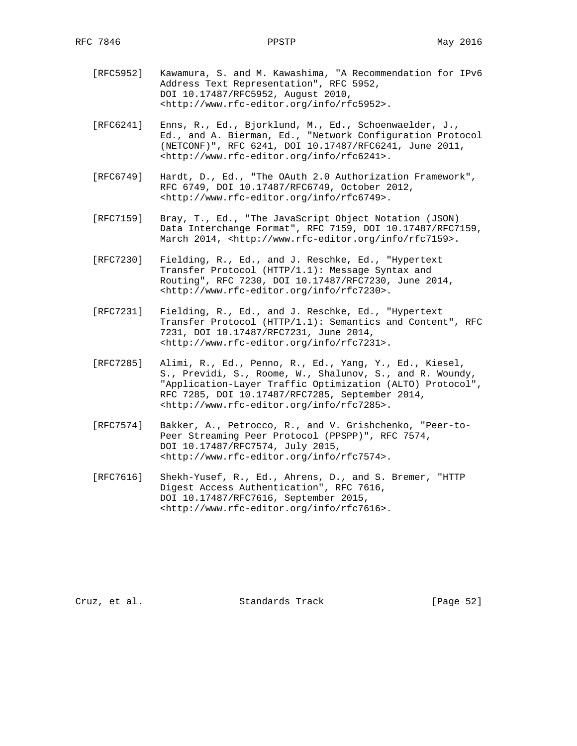- [RFC5952] Kawamura, S. and M. Kawashima, "A Recommendation for IPv6 Address Text Representation", RFC 5952, DOI 10.17487/RFC5952, August 2010, <http://www.rfc-editor.org/info/rfc5952>.
- [RFC6241] Enns, R., Ed., Bjorklund, M., Ed., Schoenwaelder, J., Ed., and A. Bierman, Ed., "Network Configuration Protocol (NETCONF)", RFC 6241, DOI 10.17487/RFC6241, June 2011, <http://www.rfc-editor.org/info/rfc6241>.
- [RFC6749] Hardt, D., Ed., "The OAuth 2.0 Authorization Framework", RFC 6749, DOI 10.17487/RFC6749, October 2012, <http://www.rfc-editor.org/info/rfc6749>.
- [RFC7159] Bray, T., Ed., "The JavaScript Object Notation (JSON) Data Interchange Format", RFC 7159, DOI 10.17487/RFC7159, March 2014, <http://www.rfc-editor.org/info/rfc7159>.
- [RFC7230] Fielding, R., Ed., and J. Reschke, Ed., "Hypertext Transfer Protocol (HTTP/1.1): Message Syntax and Routing", RFC 7230, DOI 10.17487/RFC7230, June 2014, <http://www.rfc-editor.org/info/rfc7230>.
- [RFC7231] Fielding, R., Ed., and J. Reschke, Ed., "Hypertext Transfer Protocol (HTTP/1.1): Semantics and Content", RFC 7231, DOI 10.17487/RFC7231, June 2014, <http://www.rfc-editor.org/info/rfc7231>.
- [RFC7285] Alimi, R., Ed., Penno, R., Ed., Yang, Y., Ed., Kiesel, S., Previdi, S., Roome, W., Shalunov, S., and R. Woundy, "Application-Layer Traffic Optimization (ALTO) Protocol", RFC 7285, DOI 10.17487/RFC7285, September 2014, <http://www.rfc-editor.org/info/rfc7285>.
- [RFC7574] Bakker, A., Petrocco, R., and V. Grishchenko, "Peer-to- Peer Streaming Peer Protocol (PPSPP)", RFC 7574, DOI 10.17487/RFC7574, July 2015, <http://www.rfc-editor.org/info/rfc7574>.
- [RFC7616] Shekh-Yusef, R., Ed., Ahrens, D., and S. Bremer, "HTTP Digest Access Authentication", RFC 7616, DOI 10.17487/RFC7616, September 2015, <http://www.rfc-editor.org/info/rfc7616>.

Cruz, et al. Standards Track [Page 52]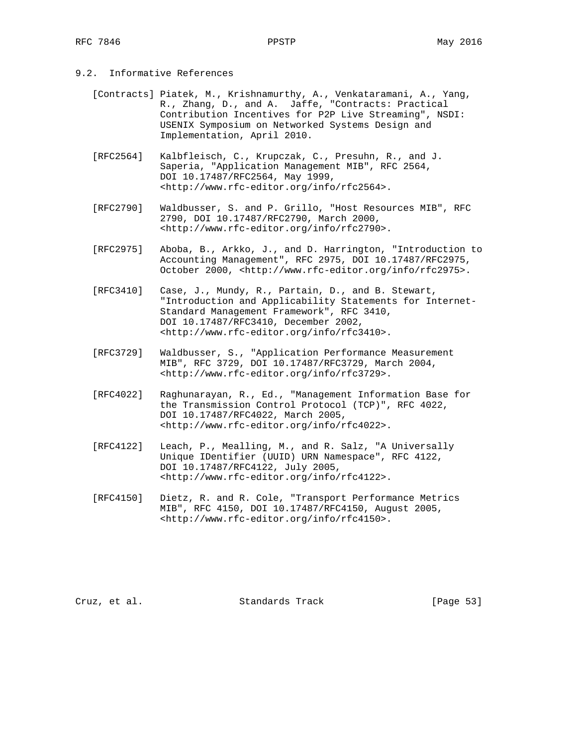# 9.2. Informative References

- [Contracts] Piatek, M., Krishnamurthy, A., Venkataramani, A., Yang, R., Zhang, D., and A. Jaffe, "Contracts: Practical Contribution Incentives for P2P Live Streaming", NSDI: USENIX Symposium on Networked Systems Design and Implementation, April 2010.
- [RFC2564] Kalbfleisch, C., Krupczak, C., Presuhn, R., and J. Saperia, "Application Management MIB", RFC 2564, DOI 10.17487/RFC2564, May 1999, <http://www.rfc-editor.org/info/rfc2564>.
- [RFC2790] Waldbusser, S. and P. Grillo, "Host Resources MIB", RFC 2790, DOI 10.17487/RFC2790, March 2000, <http://www.rfc-editor.org/info/rfc2790>.
- [RFC2975] Aboba, B., Arkko, J., and D. Harrington, "Introduction to Accounting Management", RFC 2975, DOI 10.17487/RFC2975, October 2000, <http://www.rfc-editor.org/info/rfc2975>.
- [RFC3410] Case, J., Mundy, R., Partain, D., and B. Stewart, "Introduction and Applicability Statements for Internet- Standard Management Framework", RFC 3410, DOI 10.17487/RFC3410, December 2002, <http://www.rfc-editor.org/info/rfc3410>.
- [RFC3729] Waldbusser, S., "Application Performance Measurement MIB", RFC 3729, DOI 10.17487/RFC3729, March 2004, <http://www.rfc-editor.org/info/rfc3729>.
- [RFC4022] Raghunarayan, R., Ed., "Management Information Base for the Transmission Control Protocol (TCP)", RFC 4022, DOI 10.17487/RFC4022, March 2005, <http://www.rfc-editor.org/info/rfc4022>.
- [RFC4122] Leach, P., Mealling, M., and R. Salz, "A Universally Unique IDentifier (UUID) URN Namespace", RFC 4122, DOI 10.17487/RFC4122, July 2005, <http://www.rfc-editor.org/info/rfc4122>.
- [RFC4150] Dietz, R. and R. Cole, "Transport Performance Metrics MIB", RFC 4150, DOI 10.17487/RFC4150, August 2005, <http://www.rfc-editor.org/info/rfc4150>.

Cruz, et al. Standards Track [Page 53]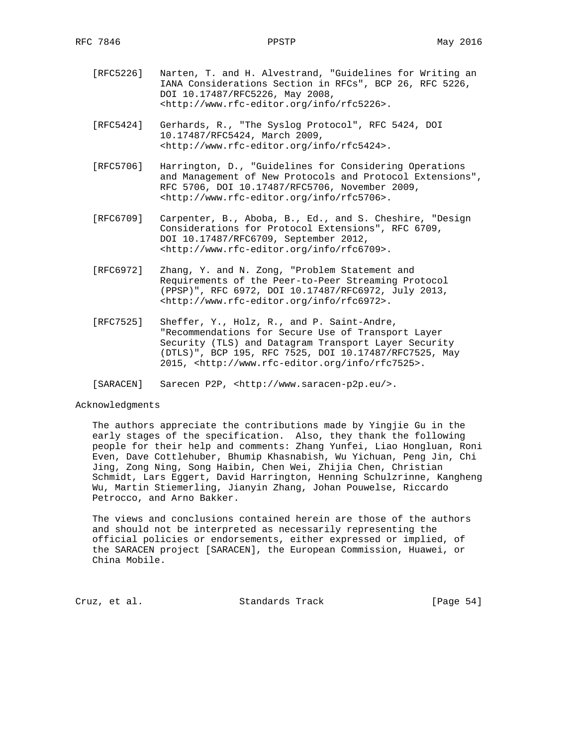- [RFC5226] Narten, T. and H. Alvestrand, "Guidelines for Writing an IANA Considerations Section in RFCs", BCP 26, RFC 5226, DOI 10.17487/RFC5226, May 2008, <http://www.rfc-editor.org/info/rfc5226>.
- [RFC5424] Gerhards, R., "The Syslog Protocol", RFC 5424, DOI 10.17487/RFC5424, March 2009, <http://www.rfc-editor.org/info/rfc5424>.
- [RFC5706] Harrington, D., "Guidelines for Considering Operations and Management of New Protocols and Protocol Extensions", RFC 5706, DOI 10.17487/RFC5706, November 2009, <http://www.rfc-editor.org/info/rfc5706>.
- [RFC6709] Carpenter, B., Aboba, B., Ed., and S. Cheshire, "Design Considerations for Protocol Extensions", RFC 6709, DOI 10.17487/RFC6709, September 2012, <http://www.rfc-editor.org/info/rfc6709>.
- [RFC6972] Zhang, Y. and N. Zong, "Problem Statement and Requirements of the Peer-to-Peer Streaming Protocol (PPSP)", RFC 6972, DOI 10.17487/RFC6972, July 2013, <http://www.rfc-editor.org/info/rfc6972>.
- [RFC7525] Sheffer, Y., Holz, R., and P. Saint-Andre, "Recommendations for Secure Use of Transport Layer Security (TLS) and Datagram Transport Layer Security (DTLS)", BCP 195, RFC 7525, DOI 10.17487/RFC7525, May 2015, <http://www.rfc-editor.org/info/rfc7525>.

[SARACEN] Sarecen P2P, <http://www.saracen-p2p.eu/>.

#### Acknowledgments

 The authors appreciate the contributions made by Yingjie Gu in the early stages of the specification. Also, they thank the following people for their help and comments: Zhang Yunfei, Liao Hongluan, Roni Even, Dave Cottlehuber, Bhumip Khasnabish, Wu Yichuan, Peng Jin, Chi Jing, Zong Ning, Song Haibin, Chen Wei, Zhijia Chen, Christian Schmidt, Lars Eggert, David Harrington, Henning Schulzrinne, Kangheng Wu, Martin Stiemerling, Jianyin Zhang, Johan Pouwelse, Riccardo Petrocco, and Arno Bakker.

 The views and conclusions contained herein are those of the authors and should not be interpreted as necessarily representing the official policies or endorsements, either expressed or implied, of the SARACEN project [SARACEN], the European Commission, Huawei, or China Mobile.

Cruz, et al. Standards Track [Page 54]